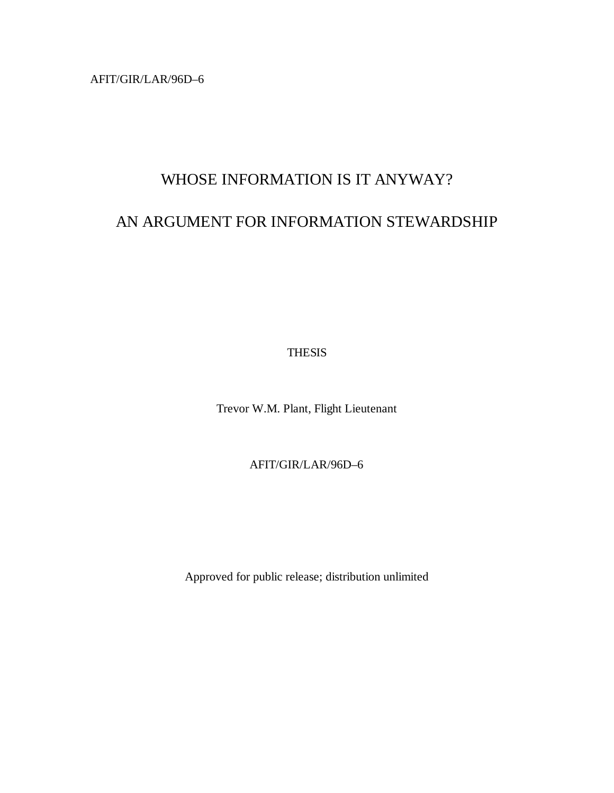AFIT/GIR/LAR/96D–6

# WHOSE INFORMATION IS IT ANYWAY?

# AN ARGUMENT FOR INFORMATION STEWARDSHIP

THESIS

Trevor W.M. Plant, Flight Lieutenant

AFIT/GIR/LAR/96D–6

Approved for public release; distribution unlimited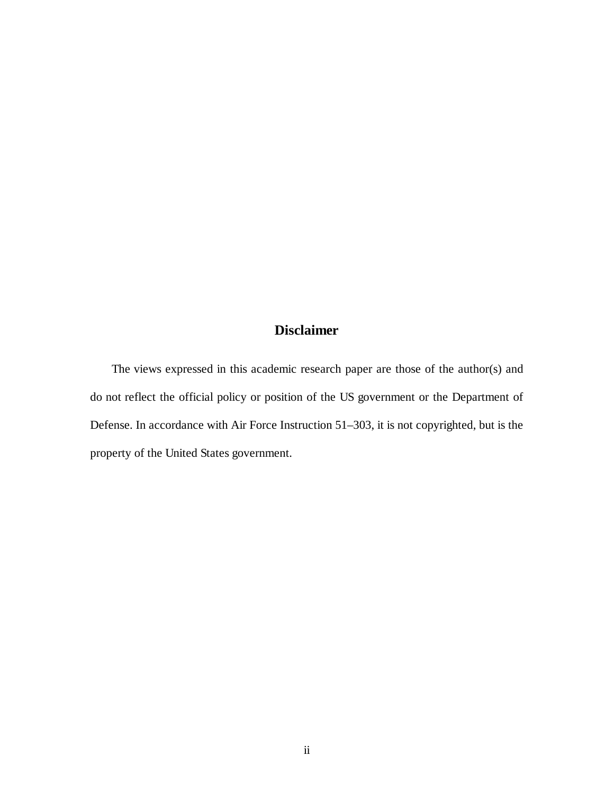## **Disclaimer**

The views expressed in this academic research paper are those of the author(s) and do not reflect the official policy or position of the US government or the Department of Defense. In accordance with Air Force Instruction 51–303, it is not copyrighted, but is the property of the United States government.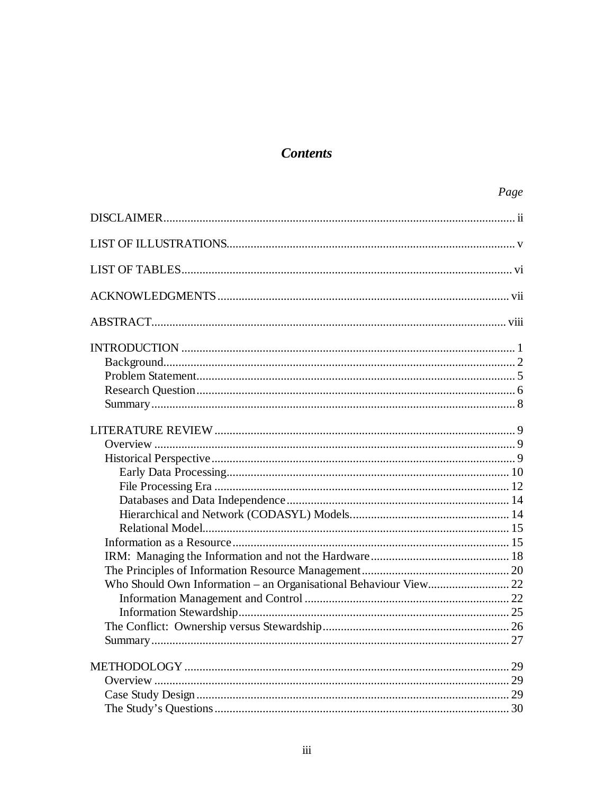# **Contents**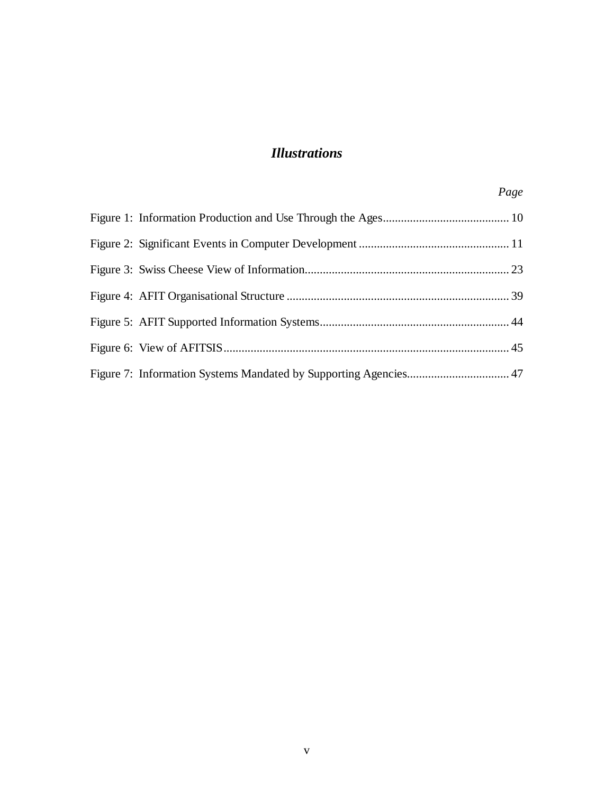# *Illustrations*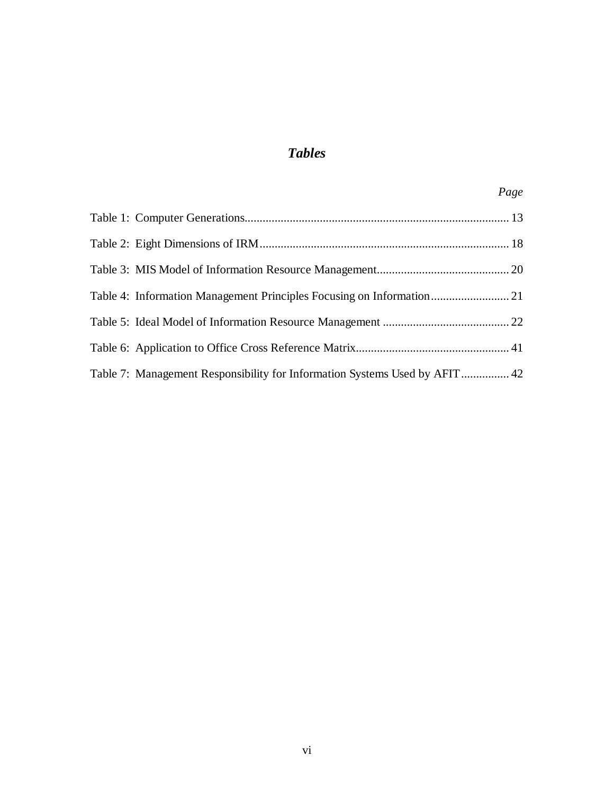# *Tables*

| Table 7: Management Responsibility for Information Systems Used by AFIT  42 |  |
|-----------------------------------------------------------------------------|--|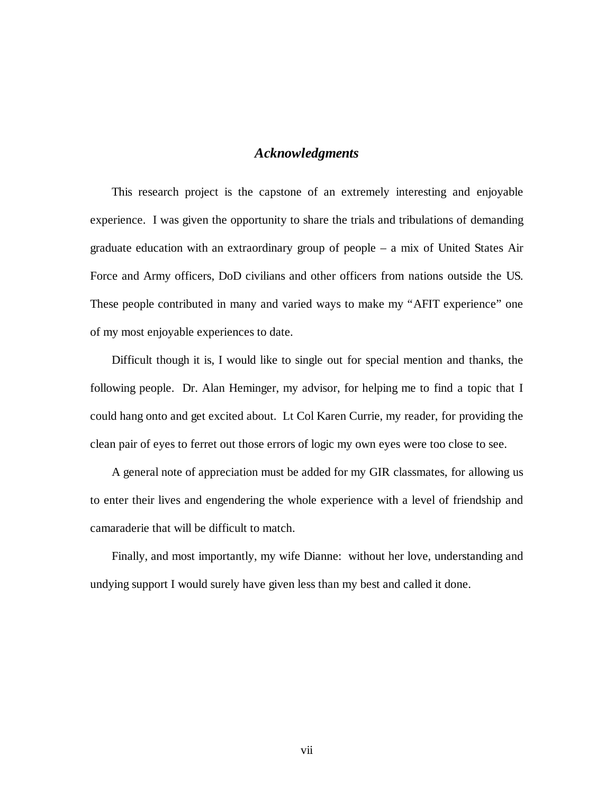## *Acknowledgments*

This research project is the capstone of an extremely interesting and enjoyable experience. I was given the opportunity to share the trials and tribulations of demanding graduate education with an extraordinary group of people – a mix of United States Air Force and Army officers, DoD civilians and other officers from nations outside the US. These people contributed in many and varied ways to make my "AFIT experience" one of my most enjoyable experiences to date.

Difficult though it is, I would like to single out for special mention and thanks, the following people. Dr. Alan Heminger, my advisor, for helping me to find a topic that I could hang onto and get excited about. Lt Col Karen Currie, my reader, for providing the clean pair of eyes to ferret out those errors of logic my own eyes were too close to see.

A general note of appreciation must be added for my GIR classmates, for allowing us to enter their lives and engendering the whole experience with a level of friendship and camaraderie that will be difficult to match.

Finally, and most importantly, my wife Dianne: without her love, understanding and undying support I would surely have given less than my best and called it done.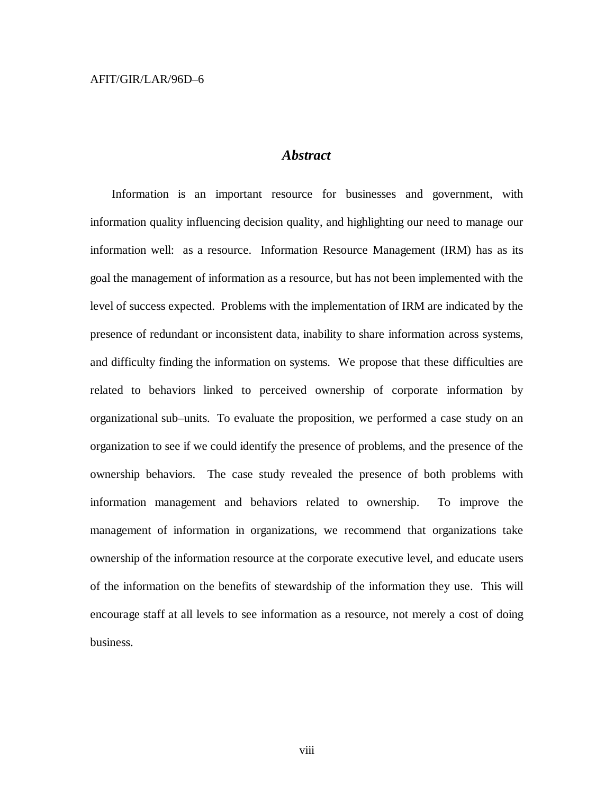## *Abstract*

Information is an important resource for businesses and government, with information quality influencing decision quality, and highlighting our need to manage our information well: as a resource. Information Resource Management (IRM) has as its goal the management of information as a resource, but has not been implemented with the level of success expected. Problems with the implementation of IRM are indicated by the presence of redundant or inconsistent data, inability to share information across systems, and difficulty finding the information on systems. We propose that these difficulties are related to behaviors linked to perceived ownership of corporate information by organizational sub–units. To evaluate the proposition, we performed a case study on an organization to see if we could identify the presence of problems, and the presence of the ownership behaviors. The case study revealed the presence of both problems with information management and behaviors related to ownership. To improve the management of information in organizations, we recommend that organizations take ownership of the information resource at the corporate executive level, and educate users of the information on the benefits of stewardship of the information they use. This will encourage staff at all levels to see information as a resource, not merely a cost of doing business.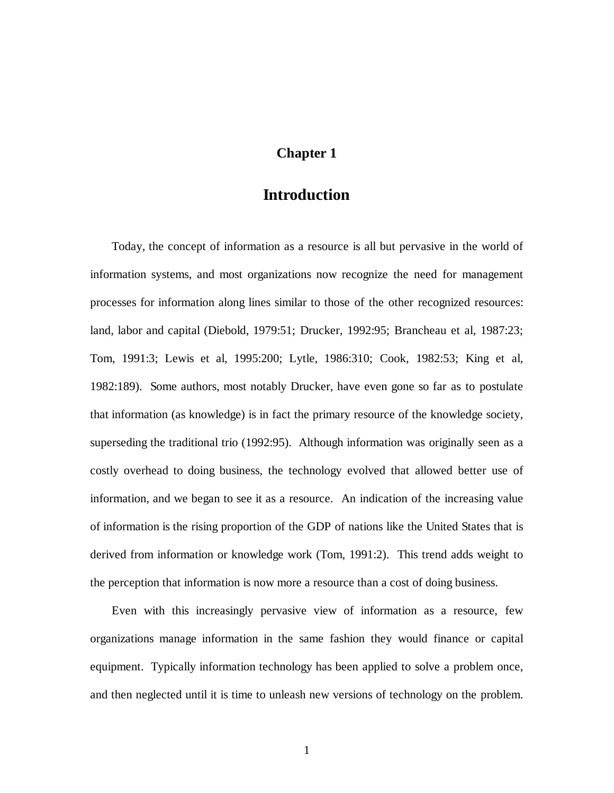## **Chapter 1**

# **Introduction**

Today, the concept of information as a resource is all but pervasive in the world of information systems, and most organizations now recognize the need for management processes for information along lines similar to those of the other recognized resources: land, labor and capital (Diebold, 1979:51; Drucker, 1992:95; Brancheau et al, 1987:23; Tom, 1991:3; Lewis et al, 1995:200; Lytle, 1986:310; Cook, 1982:53; King et al, 1982:189). Some authors, most notably Drucker, have even gone so far as to postulate that information (as knowledge) is in fact the primary resource of the knowledge society, superseding the traditional trio (1992:95). Although information was originally seen as a costly overhead to doing business, the technology evolved that allowed better use of information, and we began to see it as a resource. An indication of the increasing value of information is the rising proportion of the GDP of nations like the United States that is derived from information or knowledge work (Tom, 1991:2). This trend adds weight to the perception that information is now more a resource than a cost of doing business.

Even with this increasingly pervasive view of information as a resource, few organizations manage information in the same fashion they would finance or capital equipment. Typically information technology has been applied to solve a problem once, and then neglected until it is time to unleash new versions of technology on the problem.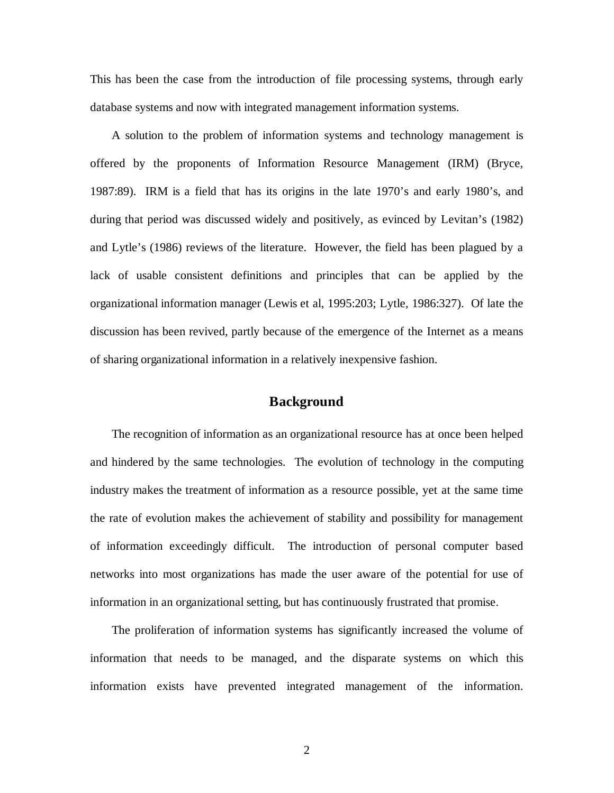This has been the case from the introduction of file processing systems, through early database systems and now with integrated management information systems.

A solution to the problem of information systems and technology management is offered by the proponents of Information Resource Management (IRM) (Bryce, 1987:89). IRM is a field that has its origins in the late 1970's and early 1980's, and during that period was discussed widely and positively, as evinced by Levitan's (1982) and Lytle's (1986) reviews of the literature. However, the field has been plagued by a lack of usable consistent definitions and principles that can be applied by the organizational information manager (Lewis et al, 1995:203; Lytle, 1986:327). Of late the discussion has been revived, partly because of the emergence of the Internet as a means of sharing organizational information in a relatively inexpensive fashion.

## **Background**

The recognition of information as an organizational resource has at once been helped and hindered by the same technologies. The evolution of technology in the computing industry makes the treatment of information as a resource possible, yet at the same time the rate of evolution makes the achievement of stability and possibility for management of information exceedingly difficult. The introduction of personal computer based networks into most organizations has made the user aware of the potential for use of information in an organizational setting, but has continuously frustrated that promise.

The proliferation of information systems has significantly increased the volume of information that needs to be managed, and the disparate systems on which this information exists have prevented integrated management of the information.

2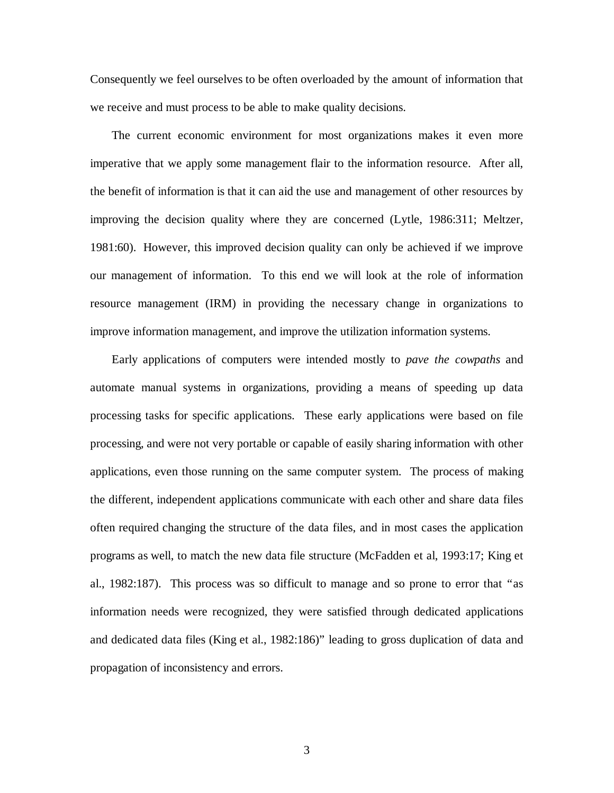Consequently we feel ourselves to be often overloaded by the amount of information that we receive and must process to be able to make quality decisions.

The current economic environment for most organizations makes it even more imperative that we apply some management flair to the information resource. After all, the benefit of information is that it can aid the use and management of other resources by improving the decision quality where they are concerned (Lytle, 1986:311; Meltzer, 1981:60). However, this improved decision quality can only be achieved if we improve our management of information. To this end we will look at the role of information resource management (IRM) in providing the necessary change in organizations to improve information management, and improve the utilization information systems.

Early applications of computers were intended mostly to *pave the cowpaths* and automate manual systems in organizations, providing a means of speeding up data processing tasks for specific applications. These early applications were based on file processing, and were not very portable or capable of easily sharing information with other applications, even those running on the same computer system. The process of making the different, independent applications communicate with each other and share data files often required changing the structure of the data files, and in most cases the application programs as well, to match the new data file structure (McFadden et al, 1993:17; King et al., 1982:187). This process was so difficult to manage and so prone to error that "as information needs were recognized, they were satisfied through dedicated applications and dedicated data files (King et al., 1982:186)" leading to gross duplication of data and propagation of inconsistency and errors.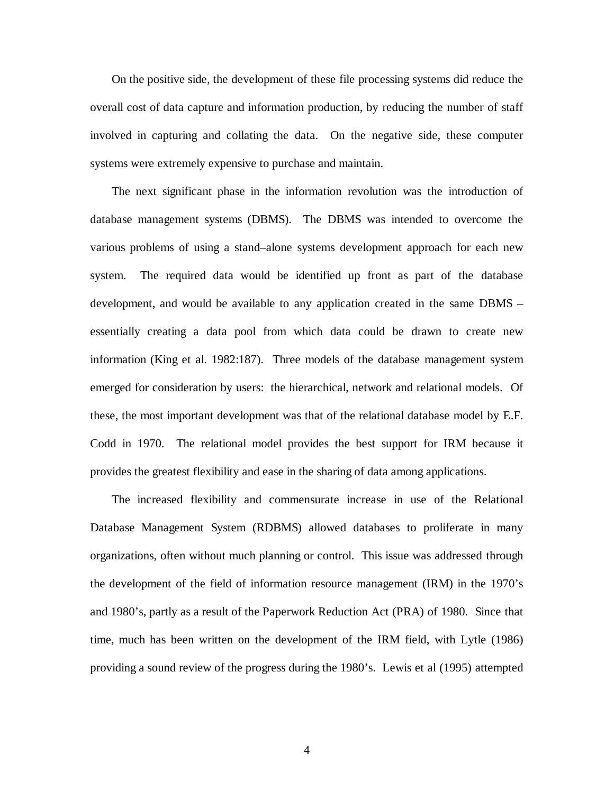On the positive side, the development of these file processing systems did reduce the overall cost of data capture and information production, by reducing the number of staff involved in capturing and collating the data. On the negative side, these computer systems were extremely expensive to purchase and maintain.

The next significant phase in the information revolution was the introduction of database management systems (DBMS). The DBMS was intended to overcome the various problems of using a stand–alone systems development approach for each new system. The required data would be identified up front as part of the database development, and would be available to any application created in the same DBMS – essentially creating a data pool from which data could be drawn to create new information (King et al. 1982:187). Three models of the database management system emerged for consideration by users: the hierarchical, network and relational models. Of these, the most important development was that of the relational database model by E.F. Codd in 1970. The relational model provides the best support for IRM because it provides the greatest flexibility and ease in the sharing of data among applications.

The increased flexibility and commensurate increase in use of the Relational Database Management System (RDBMS) allowed databases to proliferate in many organizations, often without much planning or control. This issue was addressed through the development of the field of information resource management (IRM) in the 1970's and 1980's, partly as a result of the Paperwork Reduction Act (PRA) of 1980. Since that time, much has been written on the development of the IRM field, with Lytle (1986) providing a sound review of the progress during the 1980's. Lewis et al (1995) attempted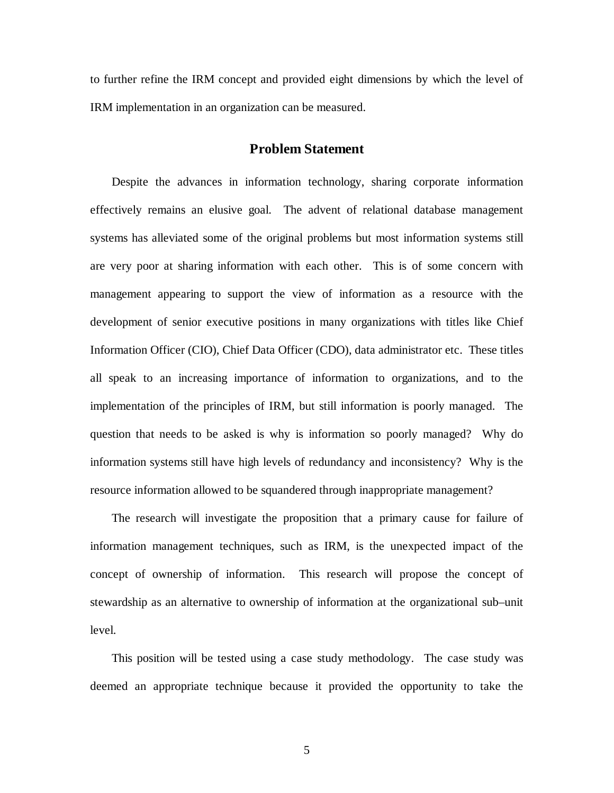to further refine the IRM concept and provided eight dimensions by which the level of IRM implementation in an organization can be measured.

## **Problem Statement**

Despite the advances in information technology, sharing corporate information effectively remains an elusive goal. The advent of relational database management systems has alleviated some of the original problems but most information systems still are very poor at sharing information with each other. This is of some concern with management appearing to support the view of information as a resource with the development of senior executive positions in many organizations with titles like Chief Information Officer (CIO), Chief Data Officer (CDO), data administrator etc. These titles all speak to an increasing importance of information to organizations, and to the implementation of the principles of IRM, but still information is poorly managed. The question that needs to be asked is why is information so poorly managed? Why do information systems still have high levels of redundancy and inconsistency? Why is the resource information allowed to be squandered through inappropriate management?

The research will investigate the proposition that a primary cause for failure of information management techniques, such as IRM, is the unexpected impact of the concept of ownership of information. This research will propose the concept of stewardship as an alternative to ownership of information at the organizational sub–unit level.

This position will be tested using a case study methodology. The case study was deemed an appropriate technique because it provided the opportunity to take the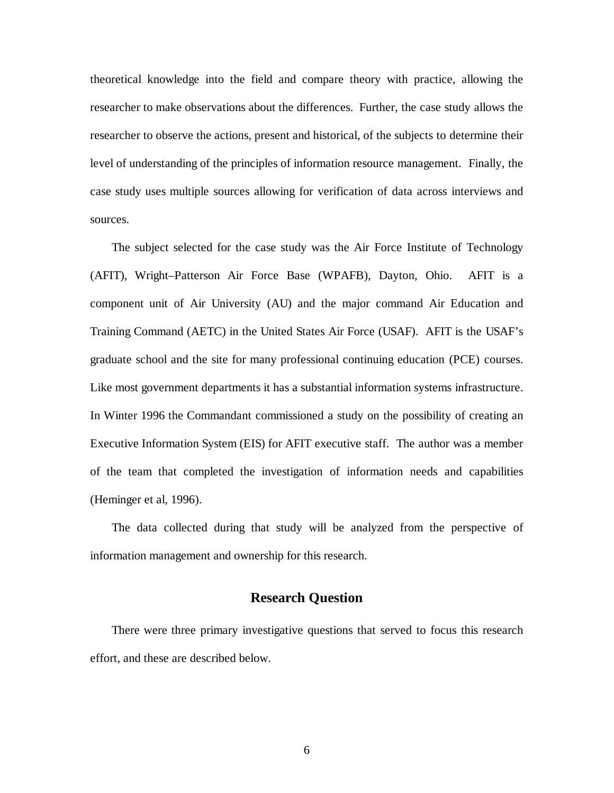theoretical knowledge into the field and compare theory with practice, allowing the researcher to make observations about the differences. Further, the case study allows the researcher to observe the actions, present and historical, of the subjects to determine their level of understanding of the principles of information resource management. Finally, the case study uses multiple sources allowing for verification of data across interviews and sources.

The subject selected for the case study was the Air Force Institute of Technology (AFIT), Wright–Patterson Air Force Base (WPAFB), Dayton, Ohio. AFIT is a component unit of Air University (AU) and the major command Air Education and Training Command (AETC) in the United States Air Force (USAF). AFIT is the USAF's graduate school and the site for many professional continuing education (PCE) courses. Like most government departments it has a substantial information systems infrastructure. In Winter 1996 the Commandant commissioned a study on the possibility of creating an Executive Information System (EIS) for AFIT executive staff. The author was a member of the team that completed the investigation of information needs and capabilities (Heminger et al, 1996).

The data collected during that study will be analyzed from the perspective of information management and ownership for this research.

### **Research Question**

There were three primary investigative questions that served to focus this research effort, and these are described below.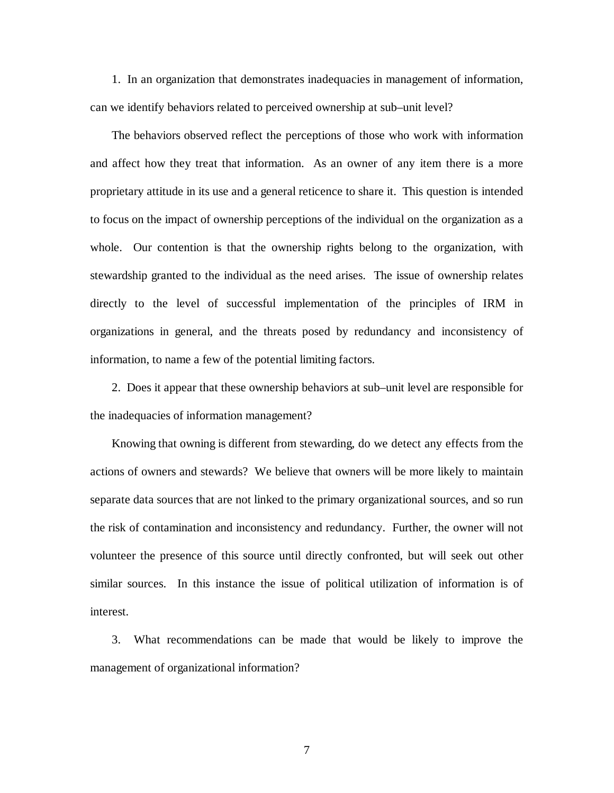1. In an organization that demonstrates inadequacies in management of information, can we identify behaviors related to perceived ownership at sub–unit level?

The behaviors observed reflect the perceptions of those who work with information and affect how they treat that information. As an owner of any item there is a more proprietary attitude in its use and a general reticence to share it. This question is intended to focus on the impact of ownership perceptions of the individual on the organization as a whole. Our contention is that the ownership rights belong to the organization, with stewardship granted to the individual as the need arises. The issue of ownership relates directly to the level of successful implementation of the principles of IRM in organizations in general, and the threats posed by redundancy and inconsistency of information, to name a few of the potential limiting factors.

2. Does it appear that these ownership behaviors at sub–unit level are responsible for the inadequacies of information management?

Knowing that owning is different from stewarding, do we detect any effects from the actions of owners and stewards? We believe that owners will be more likely to maintain separate data sources that are not linked to the primary organizational sources, and so run the risk of contamination and inconsistency and redundancy. Further, the owner will not volunteer the presence of this source until directly confronted, but will seek out other similar sources. In this instance the issue of political utilization of information is of interest.

3. What recommendations can be made that would be likely to improve the management of organizational information?

7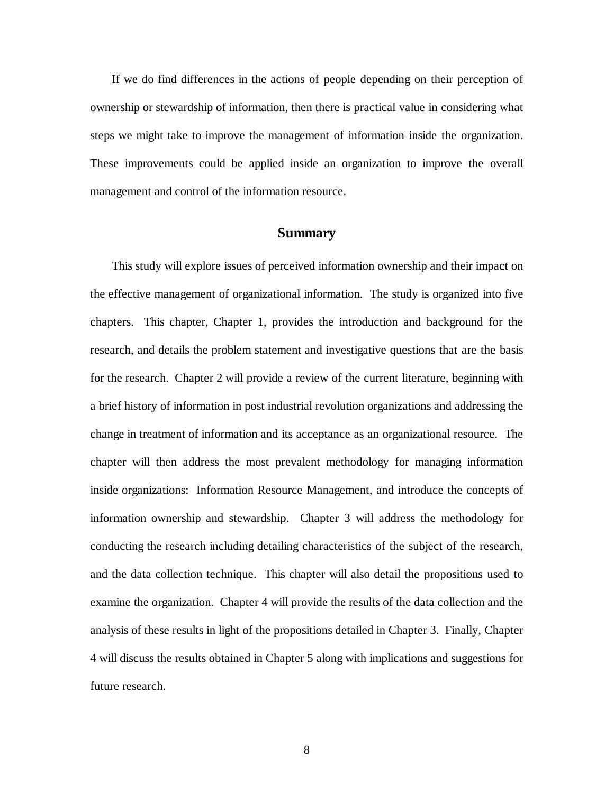If we do find differences in the actions of people depending on their perception of ownership or stewardship of information, then there is practical value in considering what steps we might take to improve the management of information inside the organization. These improvements could be applied inside an organization to improve the overall management and control of the information resource.

### **Summary**

This study will explore issues of perceived information ownership and their impact on the effective management of organizational information. The study is organized into five chapters. This chapter, Chapter 1, provides the introduction and background for the research, and details the problem statement and investigative questions that are the basis for the research. Chapter 2 will provide a review of the current literature, beginning with a brief history of information in post industrial revolution organizations and addressing the change in treatment of information and its acceptance as an organizational resource. The chapter will then address the most prevalent methodology for managing information inside organizations: Information Resource Management, and introduce the concepts of information ownership and stewardship. Chapter 3 will address the methodology for conducting the research including detailing characteristics of the subject of the research, and the data collection technique. This chapter will also detail the propositions used to examine the organization. Chapter 4 will provide the results of the data collection and the analysis of these results in light of the propositions detailed in Chapter 3. Finally, Chapter 4 will discuss the results obtained in Chapter 5 along with implications and suggestions for future research.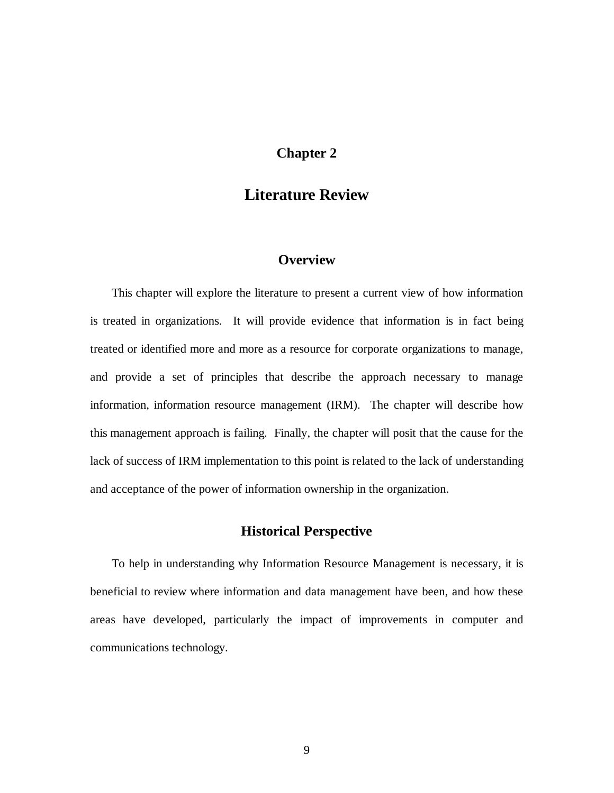# **Chapter 2**

# **Literature Review**

## **Overview**

This chapter will explore the literature to present a current view of how information is treated in organizations. It will provide evidence that information is in fact being treated or identified more and more as a resource for corporate organizations to manage, and provide a set of principles that describe the approach necessary to manage information, information resource management (IRM). The chapter will describe how this management approach is failing. Finally, the chapter will posit that the cause for the lack of success of IRM implementation to this point is related to the lack of understanding and acceptance of the power of information ownership in the organization.

## **Historical Perspective**

To help in understanding why Information Resource Management is necessary, it is beneficial to review where information and data management have been, and how these areas have developed, particularly the impact of improvements in computer and communications technology.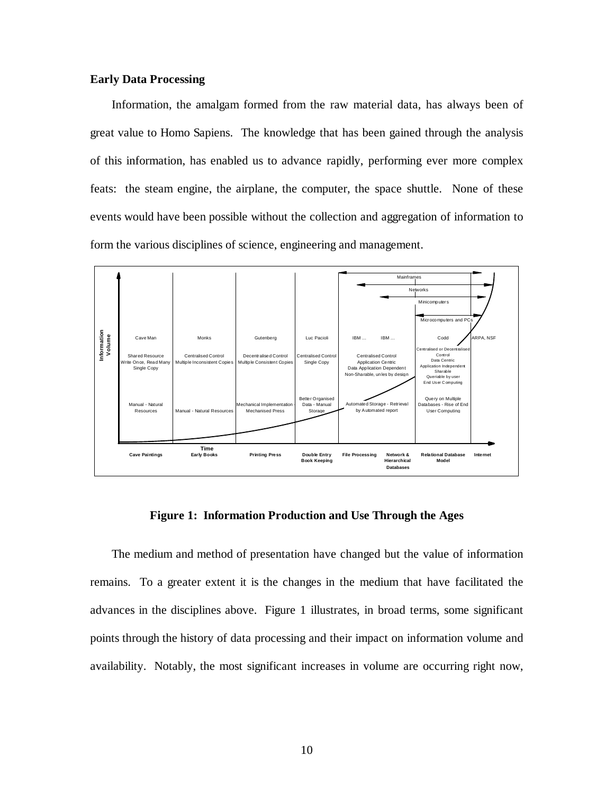#### **Early Data Processing**

Information, the amalgam formed from the raw material data, has always been of great value to Homo Sapiens. The knowledge that has been gained through the analysis of this information, has enabled us to advance rapidly, performing ever more complex feats: the steam engine, the airplane, the computer, the space shuttle. None of these events would have been possible without the collection and aggregation of information to form the various disciplines of science, engineering and management.



**Figure 1: Information Production and Use Through the Ages**

The medium and method of presentation have changed but the value of information remains. To a greater extent it is the changes in the medium that have facilitated the advances in the disciplines above. Figure 1 illustrates, in broad terms, some significant points through the history of data processing and their impact on information volume and availability. Notably, the most significant increases in volume are occurring right now,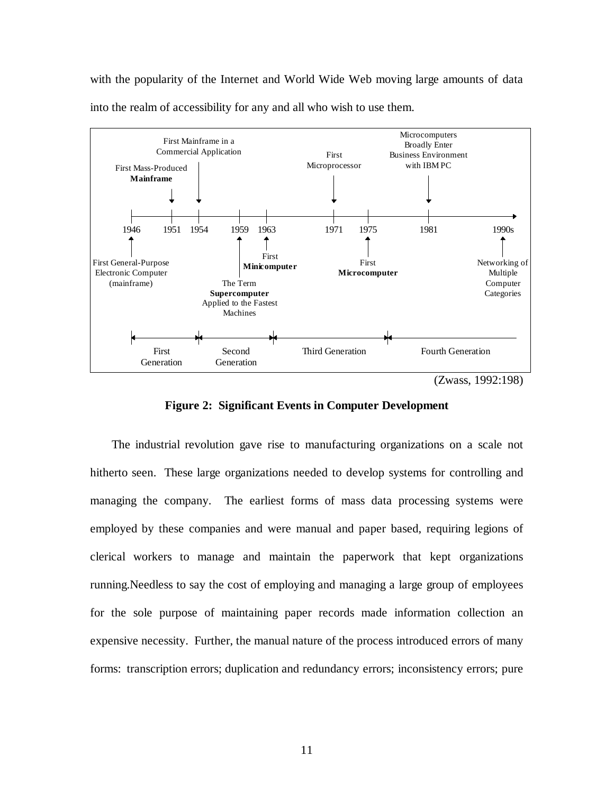with the popularity of the Internet and World Wide Web moving large amounts of data into the realm of accessibility for any and all who wish to use them.



**Figure 2: Significant Events in Computer Development**

The industrial revolution gave rise to manufacturing organizations on a scale not hitherto seen. These large organizations needed to develop systems for controlling and managing the company. The earliest forms of mass data processing systems were employed by these companies and were manual and paper based, requiring legions of clerical workers to manage and maintain the paperwork that kept organizations running.Needless to say the cost of employing and managing a large group of employees for the sole purpose of maintaining paper records made information collection an expensive necessity. Further, the manual nature of the process introduced errors of many forms: transcription errors; duplication and redundancy errors; inconsistency errors; pure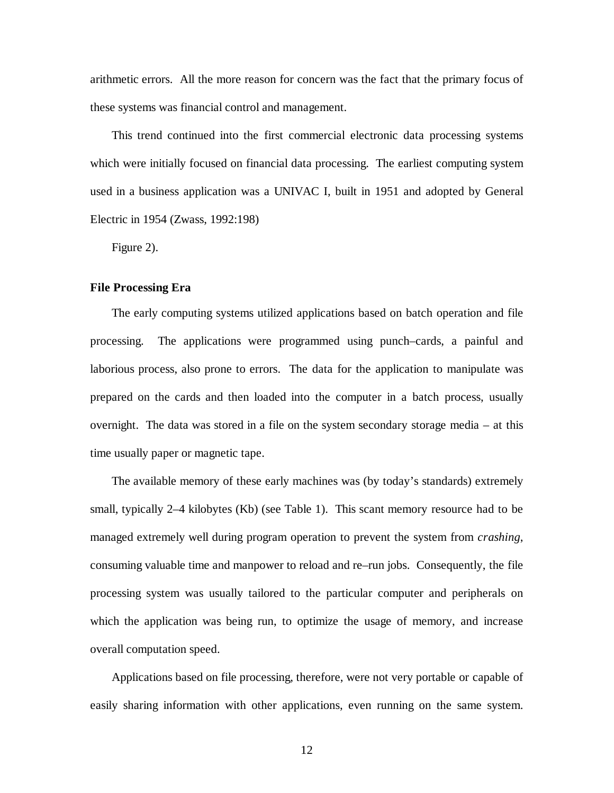arithmetic errors. All the more reason for concern was the fact that the primary focus of these systems was financial control and management.

This trend continued into the first commercial electronic data processing systems which were initially focused on financial data processing. The earliest computing system used in a business application was a UNIVAC I, built in 1951 and adopted by General Electric in 1954 (Zwass, 1992:198)

Figure 2).

#### **File Processing Era**

The early computing systems utilized applications based on batch operation and file processing. The applications were programmed using punch–cards, a painful and laborious process, also prone to errors. The data for the application to manipulate was prepared on the cards and then loaded into the computer in a batch process, usually overnight. The data was stored in a file on the system secondary storage media – at this time usually paper or magnetic tape.

The available memory of these early machines was (by today's standards) extremely small, typically 2–4 kilobytes (Kb) (see Table 1). This scant memory resource had to be managed extremely well during program operation to prevent the system from *crashing*, consuming valuable time and manpower to reload and re–run jobs. Consequently, the file processing system was usually tailored to the particular computer and peripherals on which the application was being run, to optimize the usage of memory, and increase overall computation speed.

Applications based on file processing, therefore, were not very portable or capable of easily sharing information with other applications, even running on the same system.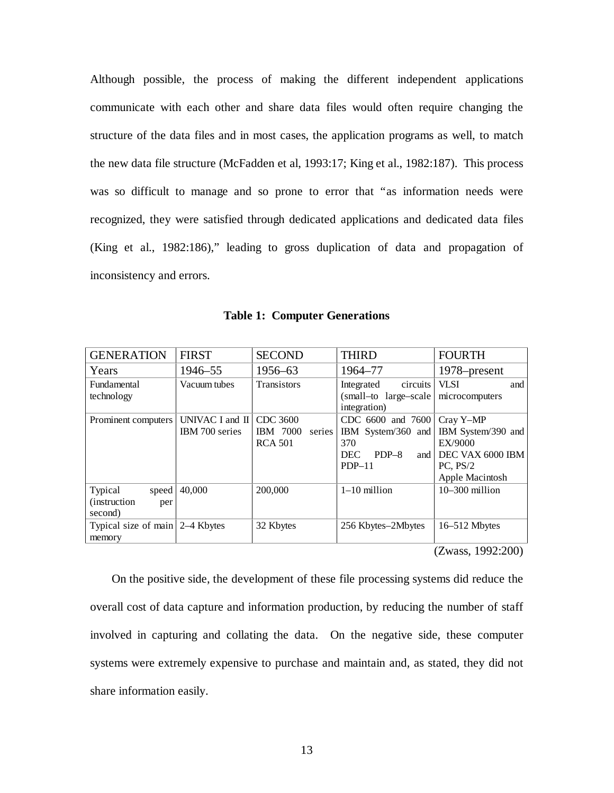Although possible, the process of making the different independent applications communicate with each other and share data files would often require changing the structure of the data files and in most cases, the application programs as well, to match the new data file structure (McFadden et al, 1993:17; King et al., 1982:187). This process was so difficult to manage and so prone to error that "as information needs were recognized, they were satisfied through dedicated applications and dedicated data files (King et al., 1982:186)," leading to gross duplication of data and propagation of inconsistency and errors.

|  |  | <b>Table 1: Computer Generations</b> |
|--|--|--------------------------------------|
|--|--|--------------------------------------|

| <b>GENERATION</b>                                          | <b>FIRST</b>                               | <b>SECOND</b>                                           | <b>THIRD</b>                                                                               | <b>FOURTH</b>                                                                                 |
|------------------------------------------------------------|--------------------------------------------|---------------------------------------------------------|--------------------------------------------------------------------------------------------|-----------------------------------------------------------------------------------------------|
| Years                                                      | 1946–55                                    | 1956–63                                                 | 1964–77                                                                                    | 1978–present                                                                                  |
| <b>Fundamental</b><br>technology                           | Vacuum tubes                               | <b>Transistors</b>                                      | circuits<br>Integrated<br>(small-to large-scale)<br>integration)                           | <b>VLSI</b><br>and<br>microcomputers                                                          |
| Prominent computers                                        | UNIVAC I and $\text{II}$<br>IBM 700 series | CDC 3600<br><b>IBM</b> 7000<br>series<br><b>RCA 501</b> | CDC 6600 and 7600<br>IBM System/360 and<br>370<br>$PDP-8$<br><b>DEC</b><br>and<br>$PDP-11$ | Cray Y-MP<br>IBM System/390 and<br>EX/9000<br>DEC VAX 6000 IBM<br>PC. PS/2<br>Apple Macintosh |
| Typical<br>speed<br><i>(instruction)</i><br>per<br>second) | 40,000                                     | 200,000                                                 | $1-10$ million                                                                             | $10-300$ million                                                                              |
| Typical size of main 2-4 Kbytes<br>memory                  |                                            | 32 Kbytes                                               | 256 Kbytes-2Mbytes                                                                         | $16 - 512$ Mbytes                                                                             |

(Zwass, 1992:200)

On the positive side, the development of these file processing systems did reduce the overall cost of data capture and information production, by reducing the number of staff involved in capturing and collating the data. On the negative side, these computer systems were extremely expensive to purchase and maintain and, as stated, they did not share information easily.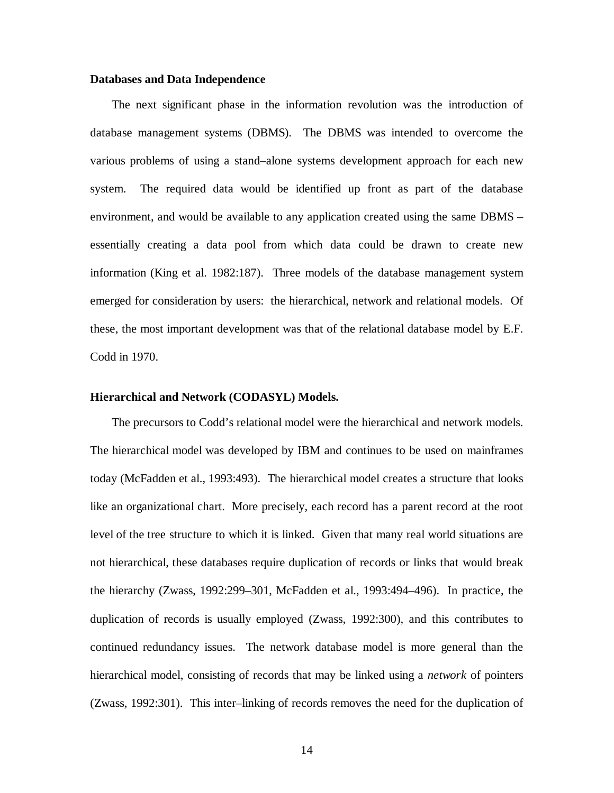#### **Databases and Data Independence**

The next significant phase in the information revolution was the introduction of database management systems (DBMS). The DBMS was intended to overcome the various problems of using a stand–alone systems development approach for each new system. The required data would be identified up front as part of the database environment, and would be available to any application created using the same DBMS – essentially creating a data pool from which data could be drawn to create new information (King et al. 1982:187). Three models of the database management system emerged for consideration by users: the hierarchical, network and relational models. Of these, the most important development was that of the relational database model by E.F. Codd in 1970.

#### **Hierarchical and Network (CODASYL) Models.**

The precursors to Codd's relational model were the hierarchical and network models. The hierarchical model was developed by IBM and continues to be used on mainframes today (McFadden et al., 1993:493). The hierarchical model creates a structure that looks like an organizational chart. More precisely, each record has a parent record at the root level of the tree structure to which it is linked. Given that many real world situations are not hierarchical, these databases require duplication of records or links that would break the hierarchy (Zwass, 1992:299–301, McFadden et al., 1993:494–496). In practice, the duplication of records is usually employed (Zwass, 1992:300), and this contributes to continued redundancy issues. The network database model is more general than the hierarchical model, consisting of records that may be linked using a *network* of pointers (Zwass, 1992:301). This inter–linking of records removes the need for the duplication of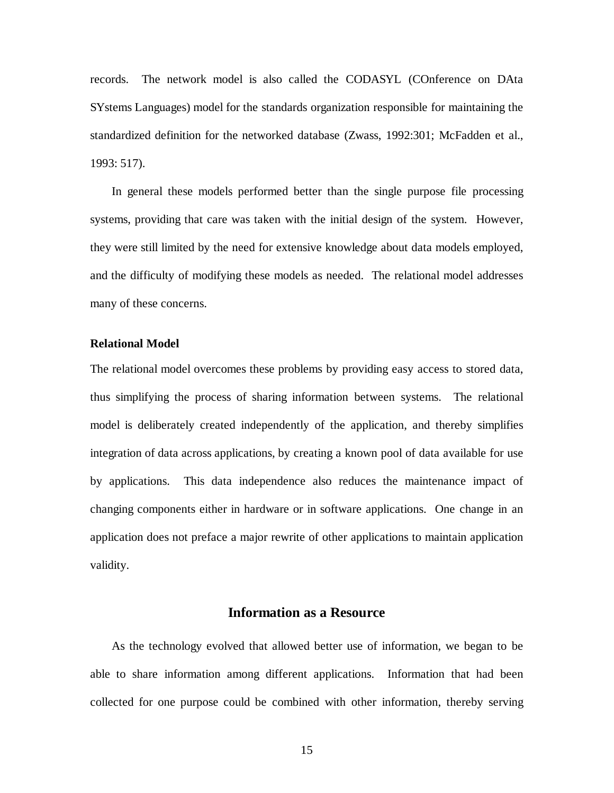records. The network model is also called the CODASYL (COnference on DAta SYstems Languages) model for the standards organization responsible for maintaining the standardized definition for the networked database (Zwass, 1992:301; McFadden et al., 1993: 517).

In general these models performed better than the single purpose file processing systems, providing that care was taken with the initial design of the system. However, they were still limited by the need for extensive knowledge about data models employed, and the difficulty of modifying these models as needed. The relational model addresses many of these concerns.

#### **Relational Model**

The relational model overcomes these problems by providing easy access to stored data, thus simplifying the process of sharing information between systems. The relational model is deliberately created independently of the application, and thereby simplifies integration of data across applications, by creating a known pool of data available for use by applications. This data independence also reduces the maintenance impact of changing components either in hardware or in software applications. One change in an application does not preface a major rewrite of other applications to maintain application validity.

## **Information as a Resource**

As the technology evolved that allowed better use of information, we began to be able to share information among different applications. Information that had been collected for one purpose could be combined with other information, thereby serving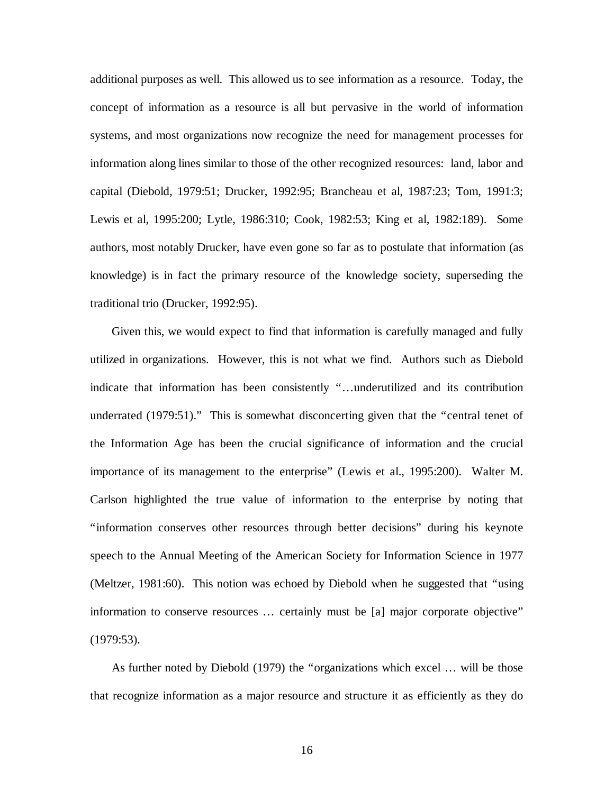additional purposes as well. This allowed us to see information as a resource. Today, the concept of information as a resource is all but pervasive in the world of information systems, and most organizations now recognize the need for management processes for information along lines similar to those of the other recognized resources: land, labor and capital (Diebold, 1979:51; Drucker, 1992:95; Brancheau et al, 1987:23; Tom, 1991:3; Lewis et al, 1995:200; Lytle, 1986:310; Cook, 1982:53; King et al, 1982:189). Some authors, most notably Drucker, have even gone so far as to postulate that information (as knowledge) is in fact the primary resource of the knowledge society, superseding the traditional trio (Drucker, 1992:95).

Given this, we would expect to find that information is carefully managed and fully utilized in organizations. However, this is not what we find. Authors such as Diebold indicate that information has been consistently "…underutilized and its contribution underrated (1979:51)." This is somewhat disconcerting given that the "central tenet of the Information Age has been the crucial significance of information and the crucial importance of its management to the enterprise" (Lewis et al., 1995:200). Walter M. Carlson highlighted the true value of information to the enterprise by noting that "information conserves other resources through better decisions" during his keynote speech to the Annual Meeting of the American Society for Information Science in 1977 (Meltzer, 1981:60). This notion was echoed by Diebold when he suggested that "using information to conserve resources … certainly must be [a] major corporate objective" (1979:53).

As further noted by Diebold (1979) the "organizations which excel … will be those that recognize information as a major resource and structure it as efficiently as they do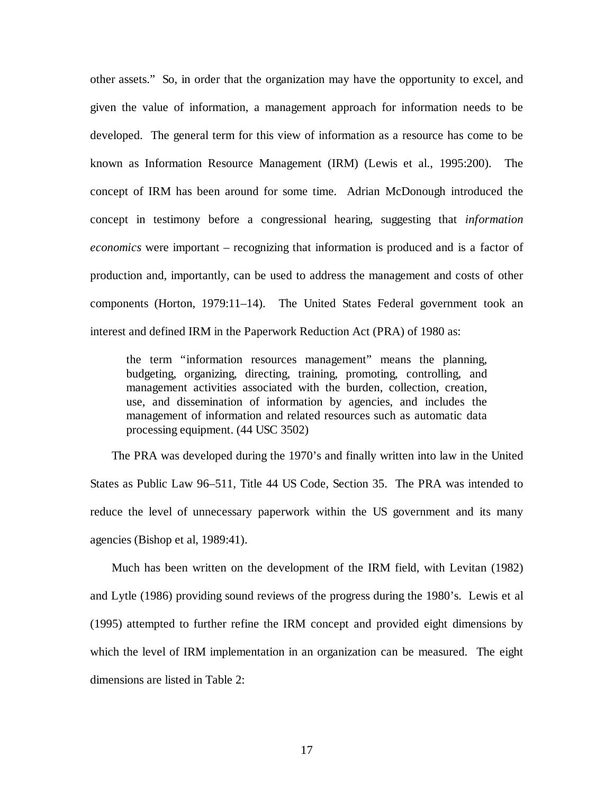other assets." So, in order that the organization may have the opportunity to excel, and given the value of information, a management approach for information needs to be developed. The general term for this view of information as a resource has come to be known as Information Resource Management (IRM) (Lewis et al., 1995:200). The concept of IRM has been around for some time. Adrian McDonough introduced the concept in testimony before a congressional hearing, suggesting that *information economics* were important – recognizing that information is produced and is a factor of production and, importantly, can be used to address the management and costs of other components (Horton, 1979:11–14). The United States Federal government took an interest and defined IRM in the Paperwork Reduction Act (PRA) of 1980 as:

the term "information resources management" means the planning, budgeting, organizing, directing, training, promoting, controlling, and management activities associated with the burden, collection, creation, use, and dissemination of information by agencies, and includes the management of information and related resources such as automatic data processing equipment. (44 USC 3502)

The PRA was developed during the 1970's and finally written into law in the United States as Public Law 96–511, Title 44 US Code, Section 35. The PRA was intended to reduce the level of unnecessary paperwork within the US government and its many agencies (Bishop et al, 1989:41).

Much has been written on the development of the IRM field, with Levitan (1982) and Lytle (1986) providing sound reviews of the progress during the 1980's. Lewis et al (1995) attempted to further refine the IRM concept and provided eight dimensions by which the level of IRM implementation in an organization can be measured. The eight dimensions are listed in Table 2: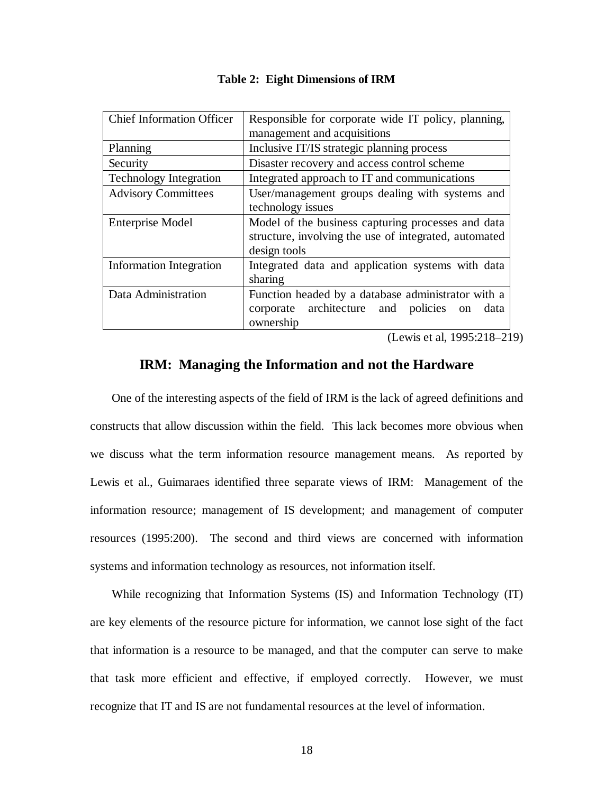| <b>Chief Information Officer</b> | Responsible for corporate wide IT policy, planning,<br>management and acquisitions                                              |  |  |
|----------------------------------|---------------------------------------------------------------------------------------------------------------------------------|--|--|
| Planning                         | Inclusive IT/IS strategic planning process                                                                                      |  |  |
| Security                         | Disaster recovery and access control scheme                                                                                     |  |  |
| <b>Technology Integration</b>    | Integrated approach to IT and communications                                                                                    |  |  |
| <b>Advisory Committees</b>       | User/management groups dealing with systems and<br>technology issues                                                            |  |  |
| <b>Enterprise Model</b>          | Model of the business capturing processes and data<br>structure, involving the use of integrated, automated<br>design tools     |  |  |
| Information Integration          | Integrated data and application systems with data<br>sharing                                                                    |  |  |
| Data Administration              | Function headed by a database administrator with a<br>corporate architecture and policies<br>data<br><sub>on</sub><br>ownership |  |  |

#### **Table 2: Eight Dimensions of IRM**

(Lewis et al, 1995:218–219)

## **IRM: Managing the Information and not the Hardware**

One of the interesting aspects of the field of IRM is the lack of agreed definitions and constructs that allow discussion within the field. This lack becomes more obvious when we discuss what the term information resource management means. As reported by Lewis et al., Guimaraes identified three separate views of IRM: Management of the information resource; management of IS development; and management of computer resources (1995:200). The second and third views are concerned with information systems and information technology as resources, not information itself.

While recognizing that Information Systems (IS) and Information Technology (IT) are key elements of the resource picture for information, we cannot lose sight of the fact that information is a resource to be managed, and that the computer can serve to make that task more efficient and effective, if employed correctly. However, we must recognize that IT and IS are not fundamental resources at the level of information.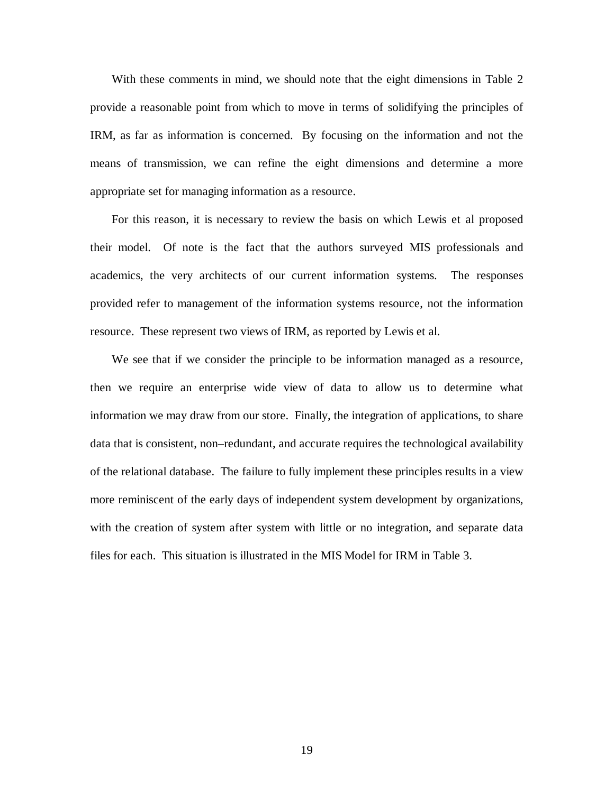With these comments in mind, we should note that the eight dimensions in Table 2 provide a reasonable point from which to move in terms of solidifying the principles of IRM, as far as information is concerned. By focusing on the information and not the means of transmission, we can refine the eight dimensions and determine a more appropriate set for managing information as a resource.

For this reason, it is necessary to review the basis on which Lewis et al proposed their model. Of note is the fact that the authors surveyed MIS professionals and academics, the very architects of our current information systems. The responses provided refer to management of the information systems resource, not the information resource. These represent two views of IRM, as reported by Lewis et al.

We see that if we consider the principle to be information managed as a resource, then we require an enterprise wide view of data to allow us to determine what information we may draw from our store. Finally, the integration of applications, to share data that is consistent, non–redundant, and accurate requires the technological availability of the relational database. The failure to fully implement these principles results in a view more reminiscent of the early days of independent system development by organizations, with the creation of system after system with little or no integration, and separate data files for each. This situation is illustrated in the MIS Model for IRM in Table 3.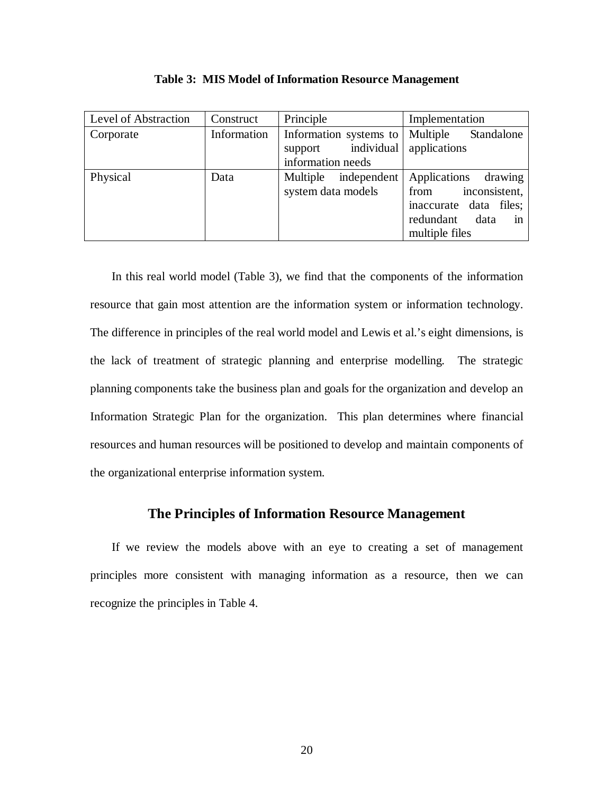| Level of Abstraction | Construct   | Principle               | Implementation          |
|----------------------|-------------|-------------------------|-------------------------|
| Corporate            | Information | Information systems to  | Multiple<br>Standalone  |
|                      |             | individual<br>support   | applications            |
|                      |             | information needs       |                         |
| Physical             | Data        | Multiple<br>independent | Applications drawing    |
|                      |             | system data models      | inconsistent,<br>from   |
|                      |             |                         | inaccurate data files;  |
|                      |             |                         | redundant<br>in<br>data |
|                      |             |                         | multiple files          |

**Table 3: MIS Model of Information Resource Management**

In this real world model (Table 3), we find that the components of the information resource that gain most attention are the information system or information technology. The difference in principles of the real world model and Lewis et al.'s eight dimensions, is the lack of treatment of strategic planning and enterprise modelling. The strategic planning components take the business plan and goals for the organization and develop an Information Strategic Plan for the organization. This plan determines where financial resources and human resources will be positioned to develop and maintain components of the organizational enterprise information system.

## **The Principles of Information Resource Management**

If we review the models above with an eye to creating a set of management principles more consistent with managing information as a resource, then we can recognize the principles in Table 4.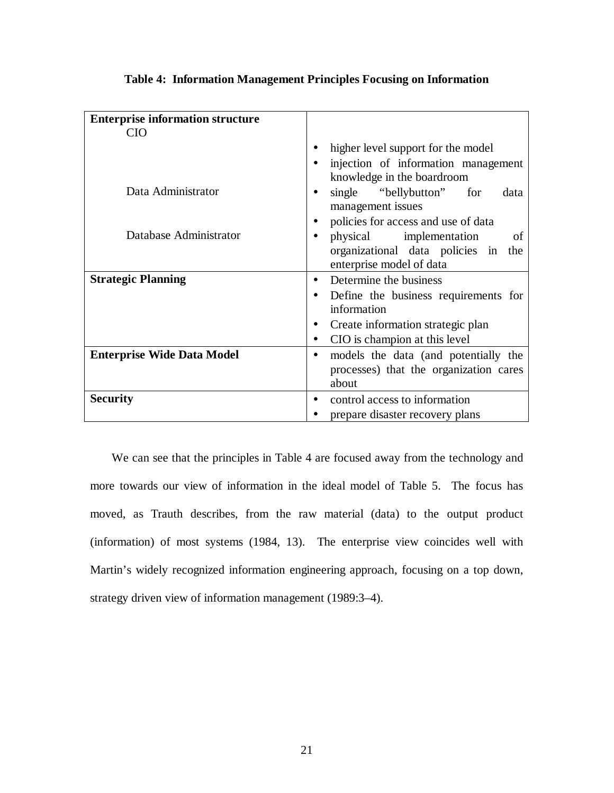| <b>Enterprise information structure</b> |                                                   |  |  |
|-----------------------------------------|---------------------------------------------------|--|--|
| <b>CIO</b>                              |                                                   |  |  |
|                                         | higher level support for the model                |  |  |
|                                         | injection of information management               |  |  |
|                                         | knowledge in the boardroom                        |  |  |
| Data Administrator                      | single "bellybutton" for<br>data                  |  |  |
|                                         | management issues                                 |  |  |
|                                         | policies for access and use of data               |  |  |
| Database Administrator                  | physical implementation<br>of                     |  |  |
|                                         | organizational data policies in<br>the            |  |  |
|                                         | enterprise model of data                          |  |  |
| <b>Strategic Planning</b>               | Determine the business                            |  |  |
|                                         | Define the business requirements for<br>$\bullet$ |  |  |
|                                         | information                                       |  |  |
|                                         | Create information strategic plan                 |  |  |
|                                         | CIO is champion at this level                     |  |  |
| <b>Enterprise Wide Data Model</b>       | models the data (and potentially the              |  |  |
|                                         | processes) that the organization cares            |  |  |
|                                         | about                                             |  |  |
| <b>Security</b>                         | control access to information                     |  |  |
|                                         | prepare disaster recovery plans                   |  |  |

**Table 4: Information Management Principles Focusing on Information**

We can see that the principles in Table 4 are focused away from the technology and more towards our view of information in the ideal model of Table 5. The focus has moved, as Trauth describes, from the raw material (data) to the output product (information) of most systems (1984, 13). The enterprise view coincides well with Martin's widely recognized information engineering approach, focusing on a top down, strategy driven view of information management (1989:3–4).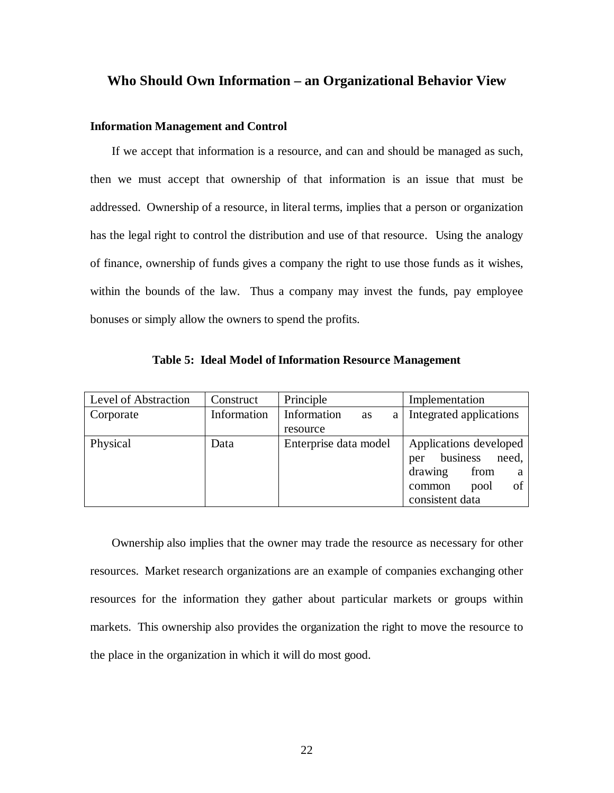### **Who Should Own Information – an Organizational Behavior View**

### **Information Management and Control**

If we accept that information is a resource, and can and should be managed as such, then we must accept that ownership of that information is an issue that must be addressed. Ownership of a resource, in literal terms, implies that a person or organization has the legal right to control the distribution and use of that resource. Using the analogy of finance, ownership of funds gives a company the right to use those funds as it wishes, within the bounds of the law. Thus a company may invest the funds, pay employee bonuses or simply allow the owners to spend the profits.

| Level of Abstraction | Construct   | Principle                     | Implementation           |  |
|----------------------|-------------|-------------------------------|--------------------------|--|
| Corporate            | Information | Information<br><b>as</b><br>a | Integrated applications  |  |
|                      |             | resource                      |                          |  |
| Physical             | Data        | Enterprise data model         | Applications developed   |  |
|                      |             |                               | business<br>need,<br>per |  |
|                      |             |                               | drawing<br>from<br>a     |  |
|                      |             |                               | οf<br>pool<br>common     |  |
|                      |             |                               | consistent data          |  |

**Table 5: Ideal Model of Information Resource Management**

Ownership also implies that the owner may trade the resource as necessary for other resources. Market research organizations are an example of companies exchanging other resources for the information they gather about particular markets or groups within markets. This ownership also provides the organization the right to move the resource to the place in the organization in which it will do most good.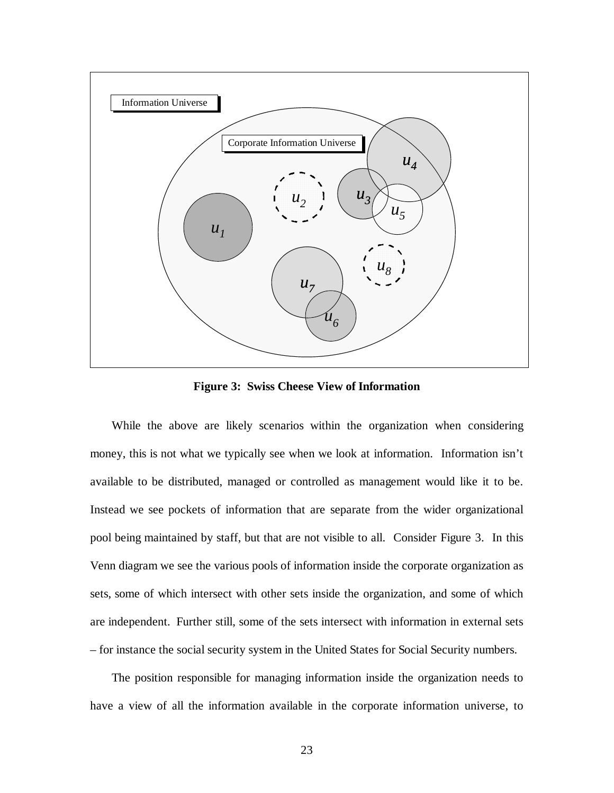

**Figure 3: Swiss Cheese View of Information**

While the above are likely scenarios within the organization when considering money, this is not what we typically see when we look at information. Information isn't available to be distributed, managed or controlled as management would like it to be. Instead we see pockets of information that are separate from the wider organizational pool being maintained by staff, but that are not visible to all. Consider Figure 3. In this Venn diagram we see the various pools of information inside the corporate organization as sets, some of which intersect with other sets inside the organization, and some of which are independent. Further still, some of the sets intersect with information in external sets – for instance the social security system in the United States for Social Security numbers.

The position responsible for managing information inside the organization needs to have a view of all the information available in the corporate information universe, to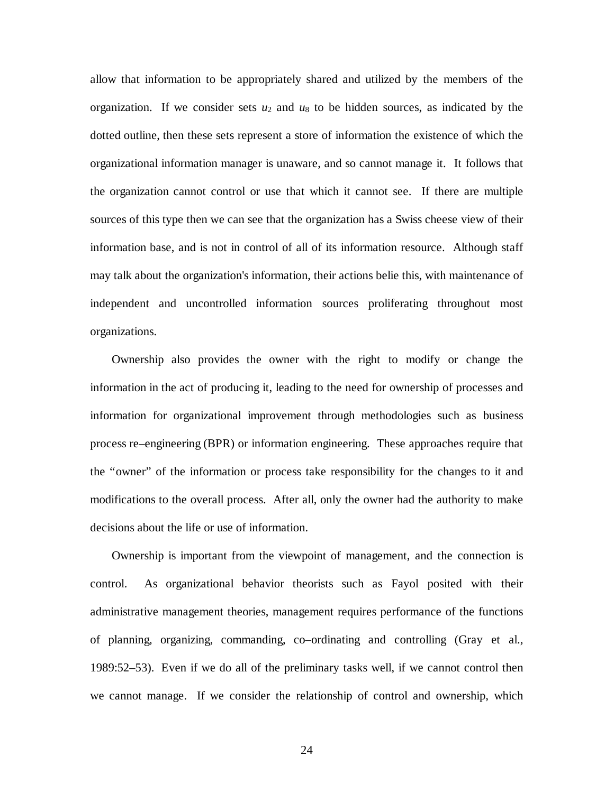allow that information to be appropriately shared and utilized by the members of the organization. If we consider sets  $u_2$  and  $u_8$  to be hidden sources, as indicated by the dotted outline, then these sets represent a store of information the existence of which the organizational information manager is unaware, and so cannot manage it. It follows that the organization cannot control or use that which it cannot see. If there are multiple sources of this type then we can see that the organization has a Swiss cheese view of their information base, and is not in control of all of its information resource. Although staff may talk about the organization's information, their actions belie this, with maintenance of independent and uncontrolled information sources proliferating throughout most organizations.

Ownership also provides the owner with the right to modify or change the information in the act of producing it, leading to the need for ownership of processes and information for organizational improvement through methodologies such as business process re–engineering (BPR) or information engineering. These approaches require that the "owner" of the information or process take responsibility for the changes to it and modifications to the overall process. After all, only the owner had the authority to make decisions about the life or use of information.

Ownership is important from the viewpoint of management, and the connection is control. As organizational behavior theorists such as Fayol posited with their administrative management theories, management requires performance of the functions of planning, organizing, commanding, co–ordinating and controlling (Gray et al., 1989:52–53). Even if we do all of the preliminary tasks well, if we cannot control then we cannot manage. If we consider the relationship of control and ownership, which

24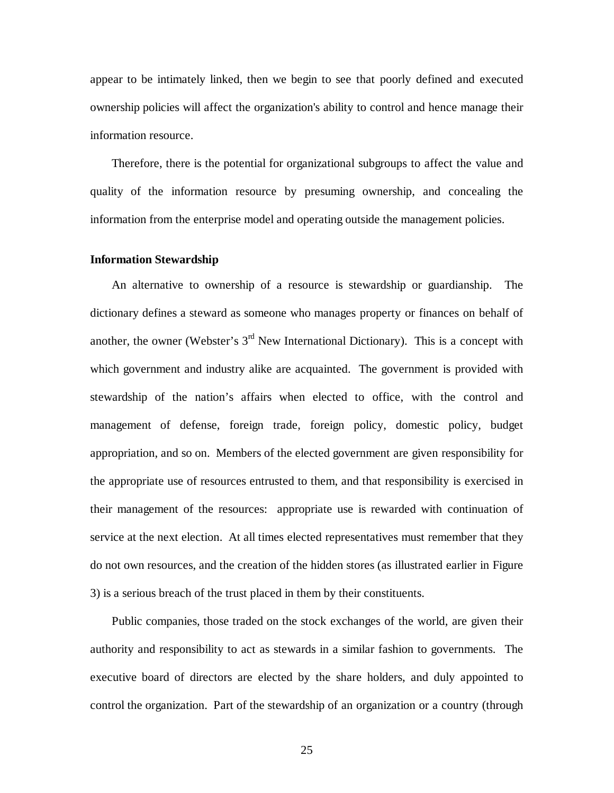appear to be intimately linked, then we begin to see that poorly defined and executed ownership policies will affect the organization's ability to control and hence manage their information resource.

Therefore, there is the potential for organizational subgroups to affect the value and quality of the information resource by presuming ownership, and concealing the information from the enterprise model and operating outside the management policies.

#### **Information Stewardship**

An alternative to ownership of a resource is stewardship or guardianship. The dictionary defines a steward as someone who manages property or finances on behalf of another, the owner (Webster's  $3<sup>rd</sup>$  New International Dictionary). This is a concept with which government and industry alike are acquainted. The government is provided with stewardship of the nation's affairs when elected to office, with the control and management of defense, foreign trade, foreign policy, domestic policy, budget appropriation, and so on. Members of the elected government are given responsibility for the appropriate use of resources entrusted to them, and that responsibility is exercised in their management of the resources: appropriate use is rewarded with continuation of service at the next election. At all times elected representatives must remember that they do not own resources, and the creation of the hidden stores (as illustrated earlier in Figure 3) is a serious breach of the trust placed in them by their constituents.

Public companies, those traded on the stock exchanges of the world, are given their authority and responsibility to act as stewards in a similar fashion to governments. The executive board of directors are elected by the share holders, and duly appointed to control the organization. Part of the stewardship of an organization or a country (through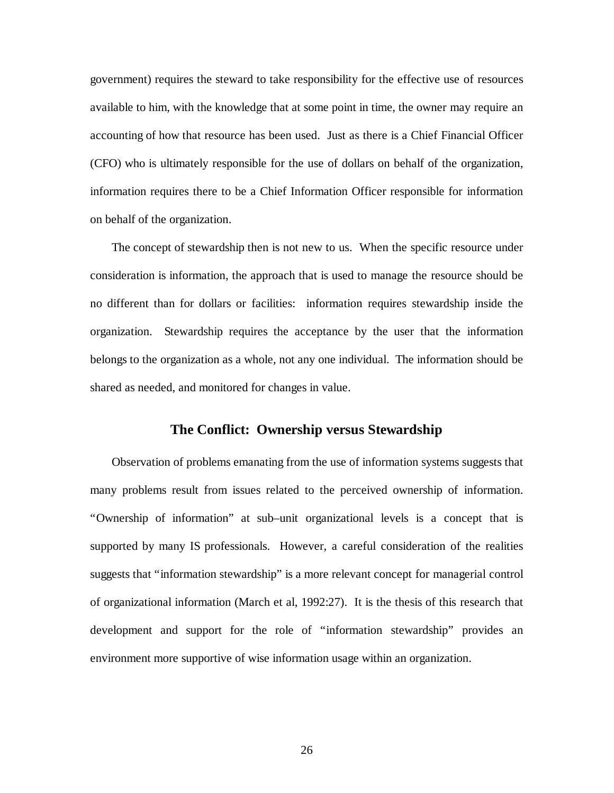government) requires the steward to take responsibility for the effective use of resources available to him, with the knowledge that at some point in time, the owner may require an accounting of how that resource has been used. Just as there is a Chief Financial Officer (CFO) who is ultimately responsible for the use of dollars on behalf of the organization, information requires there to be a Chief Information Officer responsible for information on behalf of the organization.

The concept of stewardship then is not new to us. When the specific resource under consideration is information, the approach that is used to manage the resource should be no different than for dollars or facilities: information requires stewardship inside the organization. Stewardship requires the acceptance by the user that the information belongs to the organization as a whole, not any one individual. The information should be shared as needed, and monitored for changes in value.

## **The Conflict: Ownership versus Stewardship**

Observation of problems emanating from the use of information systems suggests that many problems result from issues related to the perceived ownership of information. "Ownership of information" at sub–unit organizational levels is a concept that is supported by many IS professionals. However, a careful consideration of the realities suggests that "information stewardship" is a more relevant concept for managerial control of organizational information (March et al, 1992:27). It is the thesis of this research that development and support for the role of "information stewardship" provides an environment more supportive of wise information usage within an organization.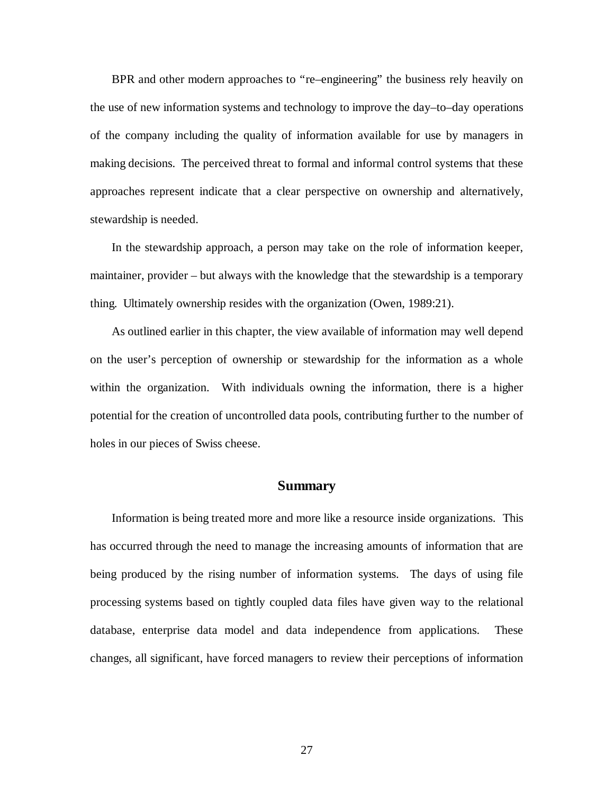BPR and other modern approaches to "re–engineering" the business rely heavily on the use of new information systems and technology to improve the day–to–day operations of the company including the quality of information available for use by managers in making decisions. The perceived threat to formal and informal control systems that these approaches represent indicate that a clear perspective on ownership and alternatively, stewardship is needed.

In the stewardship approach, a person may take on the role of information keeper, maintainer, provider – but always with the knowledge that the stewardship is a temporary thing. Ultimately ownership resides with the organization (Owen, 1989:21).

As outlined earlier in this chapter, the view available of information may well depend on the user's perception of ownership or stewardship for the information as a whole within the organization. With individuals owning the information, there is a higher potential for the creation of uncontrolled data pools, contributing further to the number of holes in our pieces of Swiss cheese.

### **Summary**

Information is being treated more and more like a resource inside organizations. This has occurred through the need to manage the increasing amounts of information that are being produced by the rising number of information systems. The days of using file processing systems based on tightly coupled data files have given way to the relational database, enterprise data model and data independence from applications. These changes, all significant, have forced managers to review their perceptions of information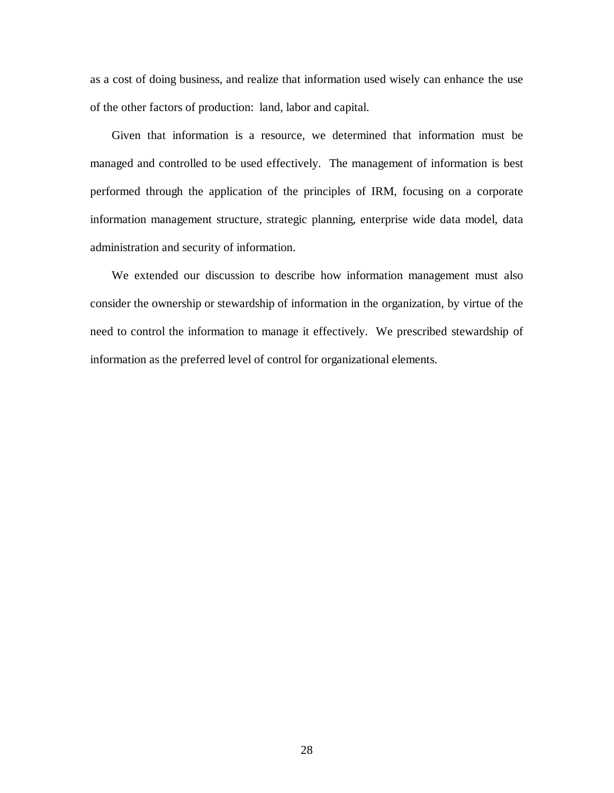as a cost of doing business, and realize that information used wisely can enhance the use of the other factors of production: land, labor and capital.

Given that information is a resource, we determined that information must be managed and controlled to be used effectively. The management of information is best performed through the application of the principles of IRM, focusing on a corporate information management structure, strategic planning, enterprise wide data model, data administration and security of information.

We extended our discussion to describe how information management must also consider the ownership or stewardship of information in the organization, by virtue of the need to control the information to manage it effectively. We prescribed stewardship of information as the preferred level of control for organizational elements.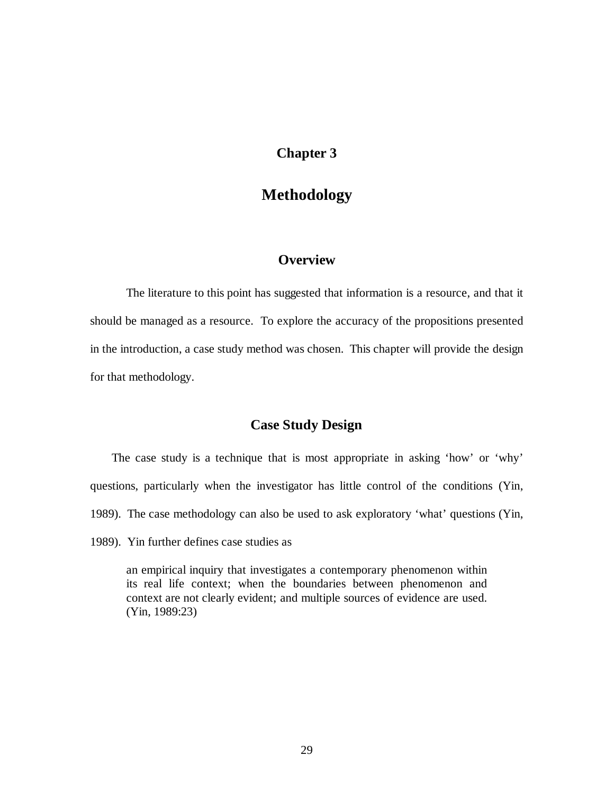# **Chapter 3**

# **Methodology**

# **Overview**

The literature to this point has suggested that information is a resource, and that it should be managed as a resource. To explore the accuracy of the propositions presented in the introduction, a case study method was chosen. This chapter will provide the design for that methodology.

# **Case Study Design**

The case study is a technique that is most appropriate in asking 'how' or 'why' questions, particularly when the investigator has little control of the conditions (Yin, 1989). The case methodology can also be used to ask exploratory 'what' questions (Yin, 1989). Yin further defines case studies as

an empirical inquiry that investigates a contemporary phenomenon within its real life context; when the boundaries between phenomenon and context are not clearly evident; and multiple sources of evidence are used. (Yin, 1989:23)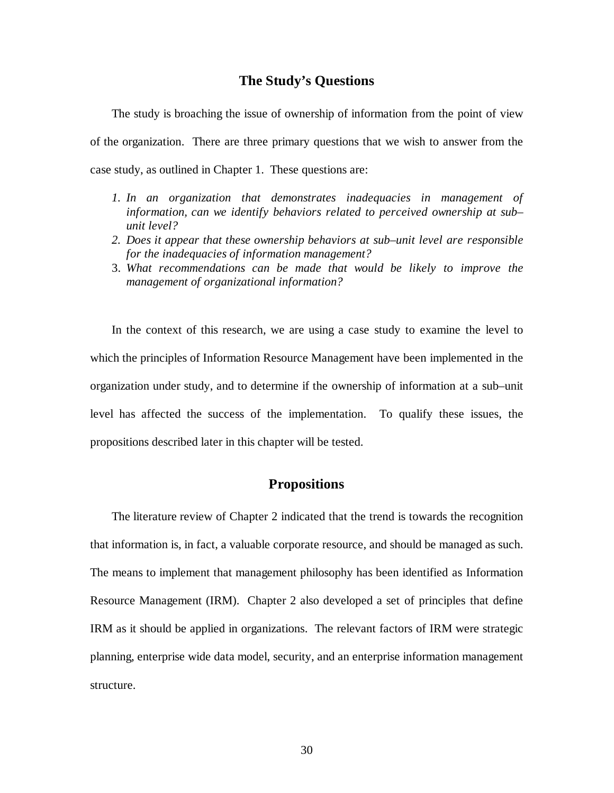## **The Study's Questions**

The study is broaching the issue of ownership of information from the point of view of the organization. There are three primary questions that we wish to answer from the case study, as outlined in Chapter 1. These questions are:

- *1. In an organization that demonstrates inadequacies in management of information, can we identify behaviors related to perceived ownership at sub– unit level?*
- *2. Does it appear that these ownership behaviors at sub–unit level are responsible for the inadequacies of information management?*
- 3. *What recommendations can be made that would be likely to improve the management of organizational information?*

In the context of this research, we are using a case study to examine the level to which the principles of Information Resource Management have been implemented in the organization under study, and to determine if the ownership of information at a sub–unit level has affected the success of the implementation. To qualify these issues, the propositions described later in this chapter will be tested.

## **Propositions**

The literature review of Chapter 2 indicated that the trend is towards the recognition that information is, in fact, a valuable corporate resource, and should be managed as such. The means to implement that management philosophy has been identified as Information Resource Management (IRM). Chapter 2 also developed a set of principles that define IRM as it should be applied in organizations. The relevant factors of IRM were strategic planning, enterprise wide data model, security, and an enterprise information management structure.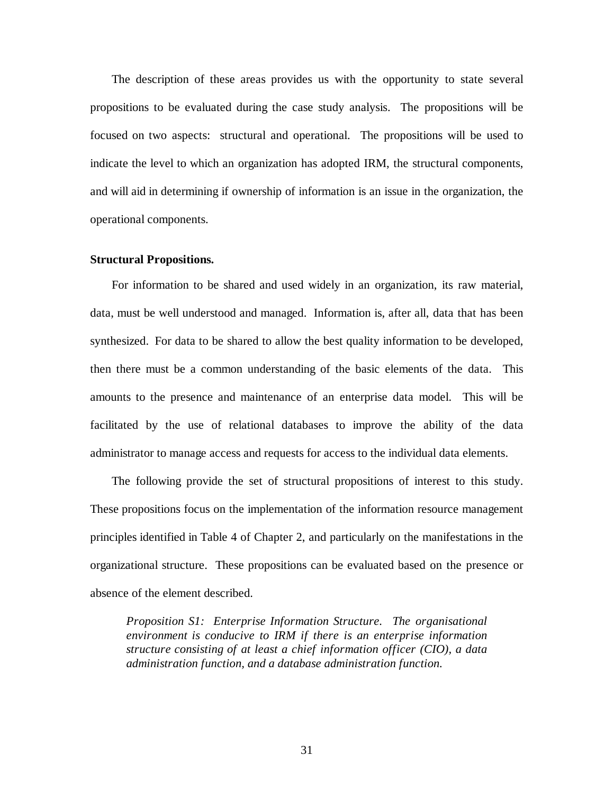The description of these areas provides us with the opportunity to state several propositions to be evaluated during the case study analysis. The propositions will be focused on two aspects: structural and operational. The propositions will be used to indicate the level to which an organization has adopted IRM, the structural components, and will aid in determining if ownership of information is an issue in the organization, the operational components.

#### **Structural Propositions.**

For information to be shared and used widely in an organization, its raw material, data, must be well understood and managed. Information is, after all, data that has been synthesized. For data to be shared to allow the best quality information to be developed, then there must be a common understanding of the basic elements of the data. This amounts to the presence and maintenance of an enterprise data model. This will be facilitated by the use of relational databases to improve the ability of the data administrator to manage access and requests for access to the individual data elements.

The following provide the set of structural propositions of interest to this study. These propositions focus on the implementation of the information resource management principles identified in Table 4 of Chapter 2, and particularly on the manifestations in the organizational structure. These propositions can be evaluated based on the presence or absence of the element described.

*Proposition S1: Enterprise Information Structure. The organisational environment is conducive to IRM if there is an enterprise information structure consisting of at least a chief information officer (CIO), a data administration function, and a database administration function.*

31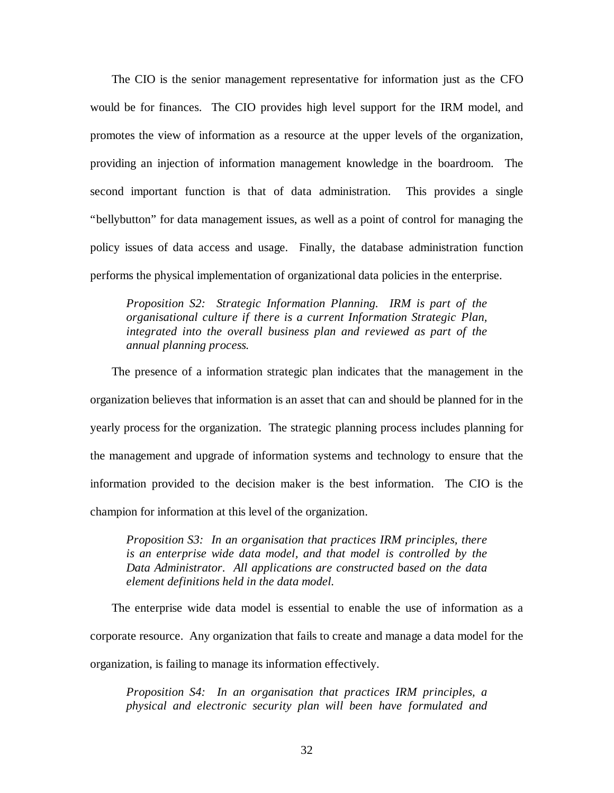The CIO is the senior management representative for information just as the CFO would be for finances. The CIO provides high level support for the IRM model, and promotes the view of information as a resource at the upper levels of the organization, providing an injection of information management knowledge in the boardroom. The second important function is that of data administration. This provides a single "bellybutton" for data management issues, as well as a point of control for managing the policy issues of data access and usage. Finally, the database administration function performs the physical implementation of organizational data policies in the enterprise.

*Proposition S2: Strategic Information Planning. IRM is part of the organisational culture if there is a current Information Strategic Plan, integrated into the overall business plan and reviewed as part of the annual planning process.*

The presence of a information strategic plan indicates that the management in the organization believes that information is an asset that can and should be planned for in the yearly process for the organization. The strategic planning process includes planning for the management and upgrade of information systems and technology to ensure that the information provided to the decision maker is the best information. The CIO is the champion for information at this level of the organization.

*Proposition S3: In an organisation that practices IRM principles, there is an enterprise wide data model, and that model is controlled by the Data Administrator. All applications are constructed based on the data element definitions held in the data model.*

The enterprise wide data model is essential to enable the use of information as a corporate resource. Any organization that fails to create and manage a data model for the organization, is failing to manage its information effectively.

*Proposition S4: In an organisation that practices IRM principles, a physical and electronic security plan will been have formulated and*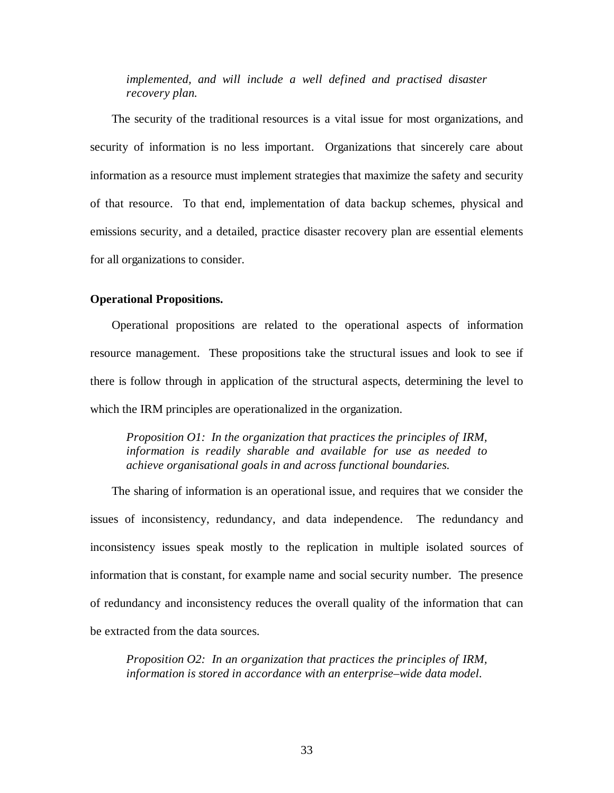*implemented, and will include a well defined and practised disaster recovery plan.*

The security of the traditional resources is a vital issue for most organizations, and security of information is no less important. Organizations that sincerely care about information as a resource must implement strategies that maximize the safety and security of that resource. To that end, implementation of data backup schemes, physical and emissions security, and a detailed, practice disaster recovery plan are essential elements for all organizations to consider.

#### **Operational Propositions.**

Operational propositions are related to the operational aspects of information resource management. These propositions take the structural issues and look to see if there is follow through in application of the structural aspects, determining the level to which the IRM principles are operationalized in the organization.

*Proposition O1: In the organization that practices the principles of IRM, information is readily sharable and available for use as needed to achieve organisational goals in and across functional boundaries*.

The sharing of information is an operational issue, and requires that we consider the issues of inconsistency, redundancy, and data independence. The redundancy and inconsistency issues speak mostly to the replication in multiple isolated sources of information that is constant, for example name and social security number. The presence of redundancy and inconsistency reduces the overall quality of the information that can be extracted from the data sources.

*Proposition O2: In an organization that practices the principles of IRM, information is stored in accordance with an enterprise–wide data model.*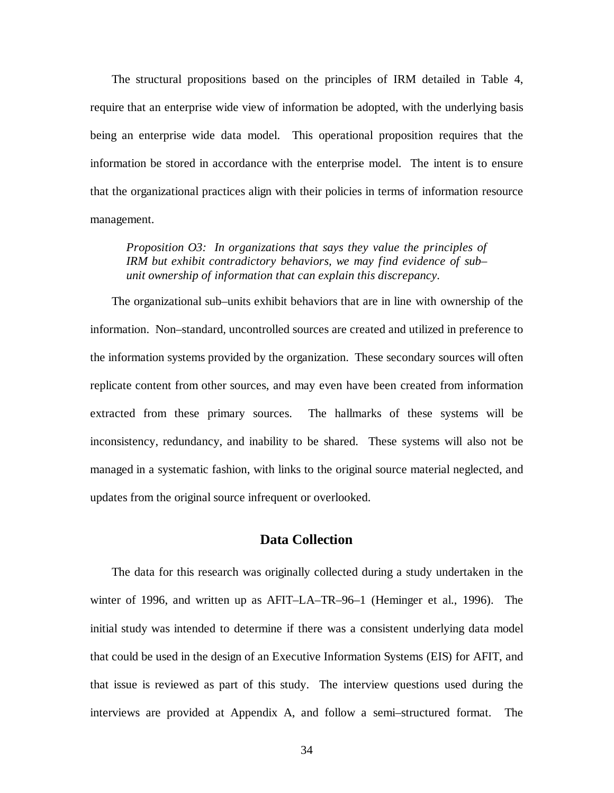The structural propositions based on the principles of IRM detailed in Table 4, require that an enterprise wide view of information be adopted, with the underlying basis being an enterprise wide data model. This operational proposition requires that the information be stored in accordance with the enterprise model. The intent is to ensure that the organizational practices align with their policies in terms of information resource management.

*Proposition O3: In organizations that says they value the principles of IRM but exhibit contradictory behaviors, we may find evidence of sub– unit ownership of information that can explain this discrepancy.*

The organizational sub–units exhibit behaviors that are in line with ownership of the information. Non–standard, uncontrolled sources are created and utilized in preference to the information systems provided by the organization. These secondary sources will often replicate content from other sources, and may even have been created from information extracted from these primary sources. The hallmarks of these systems will be inconsistency, redundancy, and inability to be shared. These systems will also not be managed in a systematic fashion, with links to the original source material neglected, and updates from the original source infrequent or overlooked.

## **Data Collection**

The data for this research was originally collected during a study undertaken in the winter of 1996, and written up as AFIT–LA–TR–96–1 (Heminger et al., 1996). The initial study was intended to determine if there was a consistent underlying data model that could be used in the design of an Executive Information Systems (EIS) for AFIT, and that issue is reviewed as part of this study. The interview questions used during the interviews are provided at Appendix A, and follow a semi–structured format. The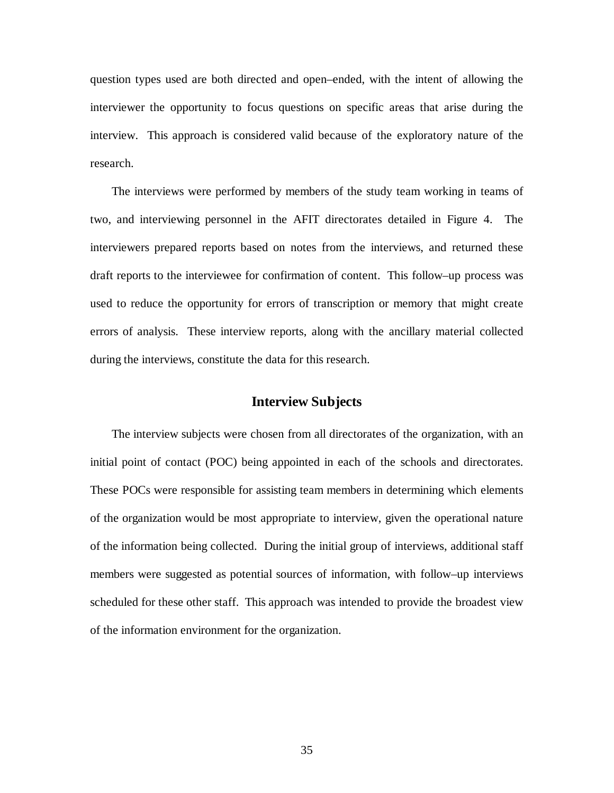question types used are both directed and open–ended, with the intent of allowing the interviewer the opportunity to focus questions on specific areas that arise during the interview. This approach is considered valid because of the exploratory nature of the research.

The interviews were performed by members of the study team working in teams of two, and interviewing personnel in the AFIT directorates detailed in Figure 4. The interviewers prepared reports based on notes from the interviews, and returned these draft reports to the interviewee for confirmation of content. This follow–up process was used to reduce the opportunity for errors of transcription or memory that might create errors of analysis. These interview reports, along with the ancillary material collected during the interviews, constitute the data for this research.

## **Interview Subjects**

The interview subjects were chosen from all directorates of the organization, with an initial point of contact (POC) being appointed in each of the schools and directorates. These POCs were responsible for assisting team members in determining which elements of the organization would be most appropriate to interview, given the operational nature of the information being collected. During the initial group of interviews, additional staff members were suggested as potential sources of information, with follow–up interviews scheduled for these other staff. This approach was intended to provide the broadest view of the information environment for the organization.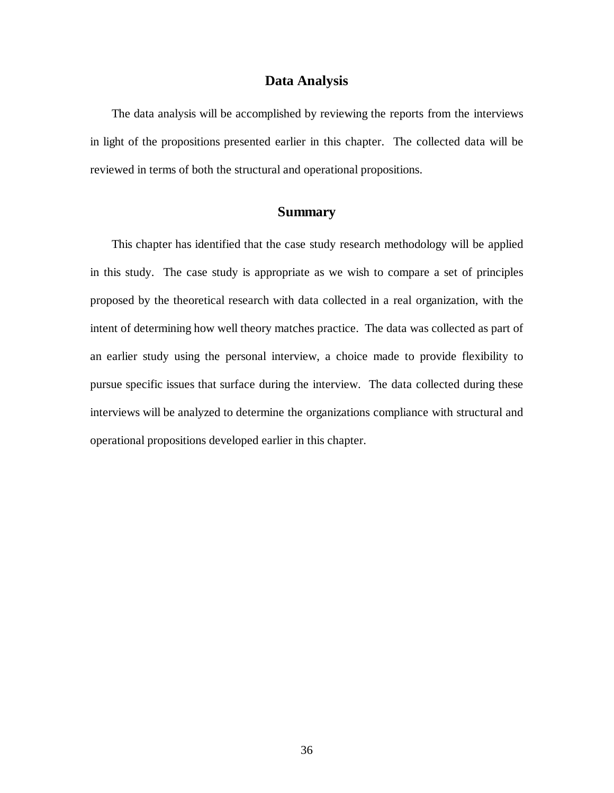### **Data Analysis**

The data analysis will be accomplished by reviewing the reports from the interviews in light of the propositions presented earlier in this chapter. The collected data will be reviewed in terms of both the structural and operational propositions.

# **Summary**

This chapter has identified that the case study research methodology will be applied in this study. The case study is appropriate as we wish to compare a set of principles proposed by the theoretical research with data collected in a real organization, with the intent of determining how well theory matches practice. The data was collected as part of an earlier study using the personal interview, a choice made to provide flexibility to pursue specific issues that surface during the interview. The data collected during these interviews will be analyzed to determine the organizations compliance with structural and operational propositions developed earlier in this chapter.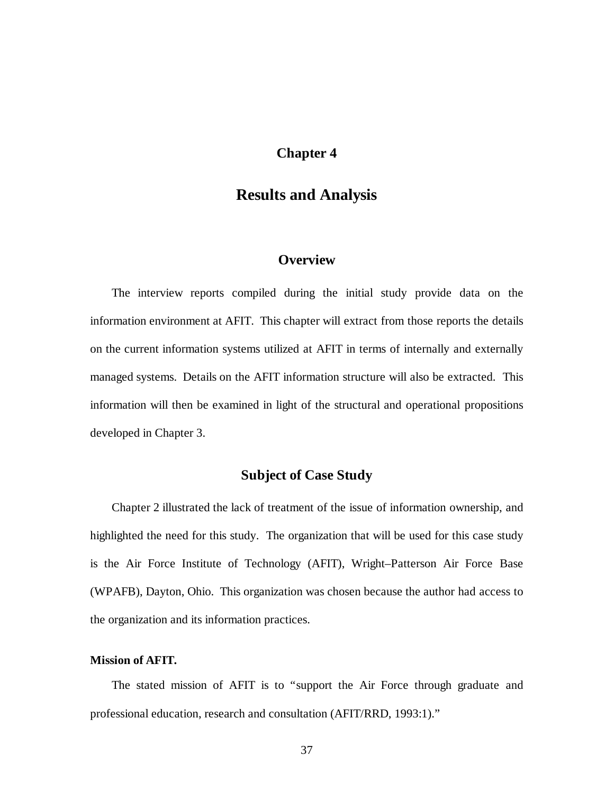# **Chapter 4**

# **Results and Analysis**

# **Overview**

The interview reports compiled during the initial study provide data on the information environment at AFIT. This chapter will extract from those reports the details on the current information systems utilized at AFIT in terms of internally and externally managed systems. Details on the AFIT information structure will also be extracted. This information will then be examined in light of the structural and operational propositions developed in Chapter 3.

# **Subject of Case Study**

Chapter 2 illustrated the lack of treatment of the issue of information ownership, and highlighted the need for this study. The organization that will be used for this case study is the Air Force Institute of Technology (AFIT), Wright–Patterson Air Force Base (WPAFB), Dayton, Ohio. This organization was chosen because the author had access to the organization and its information practices.

### **Mission of AFIT.**

The stated mission of AFIT is to "support the Air Force through graduate and professional education, research and consultation (AFIT/RRD, 1993:1)."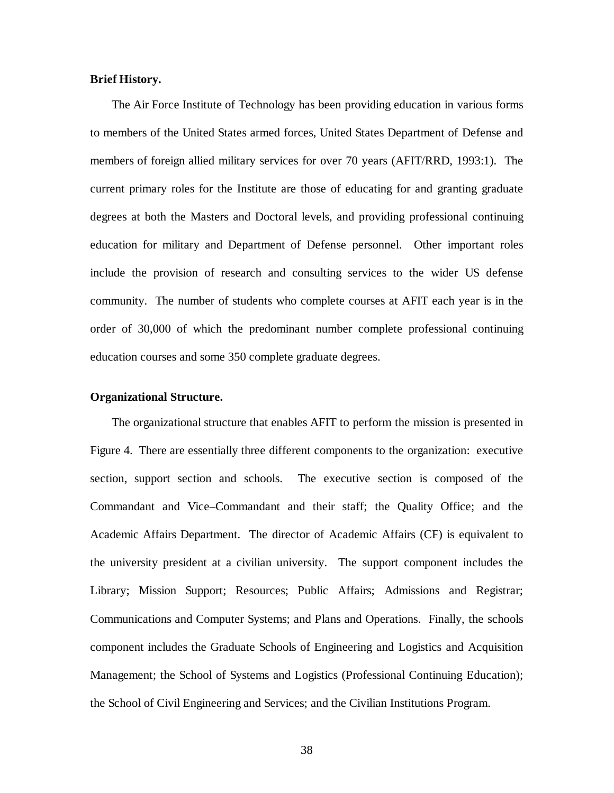#### **Brief History.**

The Air Force Institute of Technology has been providing education in various forms to members of the United States armed forces, United States Department of Defense and members of foreign allied military services for over 70 years (AFIT/RRD, 1993:1). The current primary roles for the Institute are those of educating for and granting graduate degrees at both the Masters and Doctoral levels, and providing professional continuing education for military and Department of Defense personnel. Other important roles include the provision of research and consulting services to the wider US defense community. The number of students who complete courses at AFIT each year is in the order of 30,000 of which the predominant number complete professional continuing education courses and some 350 complete graduate degrees.

#### **Organizational Structure.**

The organizational structure that enables AFIT to perform the mission is presented in Figure 4. There are essentially three different components to the organization: executive section, support section and schools. The executive section is composed of the Commandant and Vice–Commandant and their staff; the Quality Office; and the Academic Affairs Department. The director of Academic Affairs (CF) is equivalent to the university president at a civilian university. The support component includes the Library; Mission Support; Resources; Public Affairs; Admissions and Registrar; Communications and Computer Systems; and Plans and Operations. Finally, the schools component includes the Graduate Schools of Engineering and Logistics and Acquisition Management; the School of Systems and Logistics (Professional Continuing Education); the School of Civil Engineering and Services; and the Civilian Institutions Program.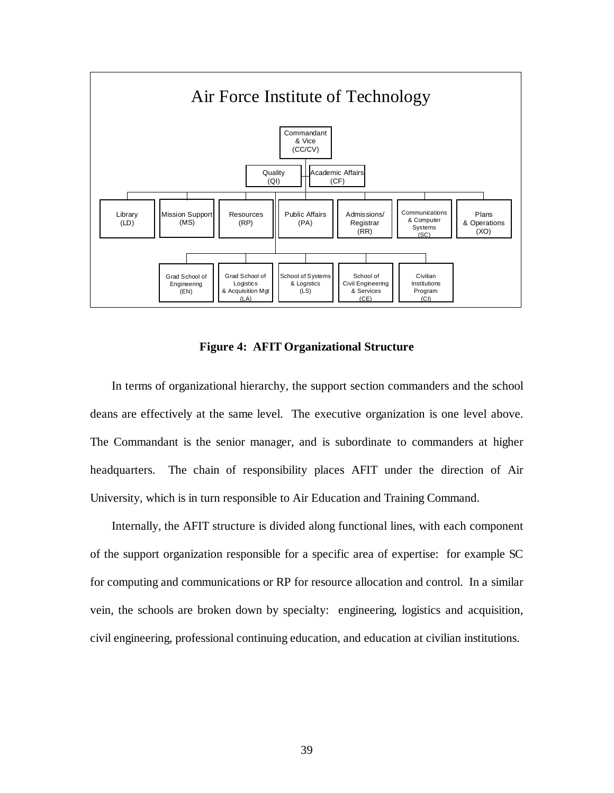

**Figure 4: AFIT Organizational Structure**

In terms of organizational hierarchy, the support section commanders and the school deans are effectively at the same level. The executive organization is one level above. The Commandant is the senior manager, and is subordinate to commanders at higher headquarters. The chain of responsibility places AFIT under the direction of Air University, which is in turn responsible to Air Education and Training Command.

Internally, the AFIT structure is divided along functional lines, with each component of the support organization responsible for a specific area of expertise: for example SC for computing and communications or RP for resource allocation and control. In a similar vein, the schools are broken down by specialty: engineering, logistics and acquisition, civil engineering, professional continuing education, and education at civilian institutions.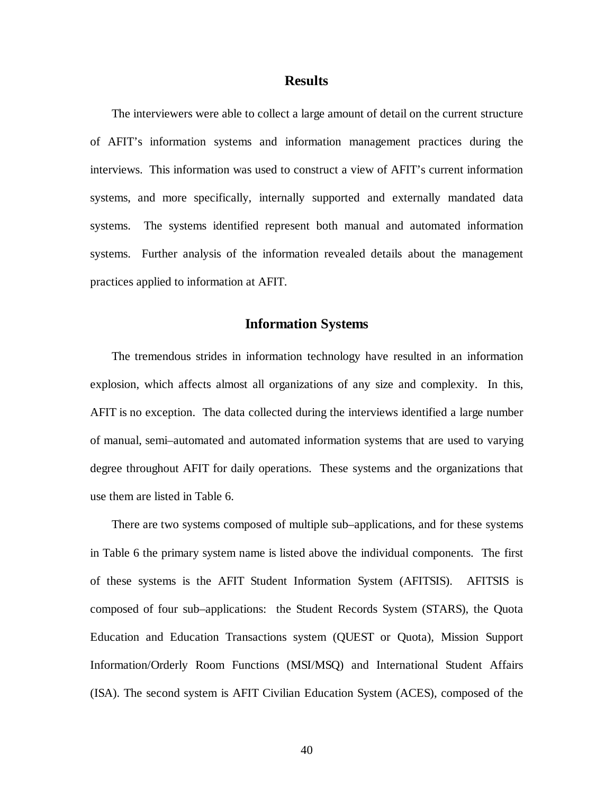#### **Results**

The interviewers were able to collect a large amount of detail on the current structure of AFIT's information systems and information management practices during the interviews. This information was used to construct a view of AFIT's current information systems, and more specifically, internally supported and externally mandated data systems. The systems identified represent both manual and automated information systems. Further analysis of the information revealed details about the management practices applied to information at AFIT.

### **Information Systems**

The tremendous strides in information technology have resulted in an information explosion, which affects almost all organizations of any size and complexity. In this, AFIT is no exception. The data collected during the interviews identified a large number of manual, semi–automated and automated information systems that are used to varying degree throughout AFIT for daily operations. These systems and the organizations that use them are listed in Table 6.

There are two systems composed of multiple sub–applications, and for these systems in Table 6 the primary system name is listed above the individual components. The first of these systems is the AFIT Student Information System (AFITSIS). AFITSIS is composed of four sub–applications: the Student Records System (STARS), the Quota Education and Education Transactions system (QUEST or Quota), Mission Support Information/Orderly Room Functions (MSI/MSQ) and International Student Affairs (ISA). The second system is AFIT Civilian Education System (ACES), composed of the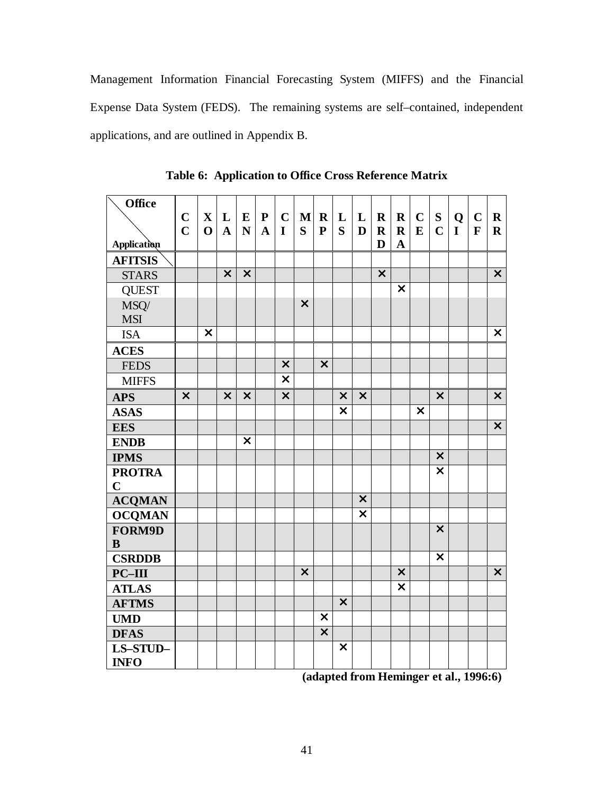Management Information Financial Forecasting System (MIFFS) and the Financial Expense Data System (FEDS). The remaining systems are self–contained, independent applications, and are outlined in Appendix B.

| Office                  |                           |                           |                           |                           |              |                           |                           |                           |                           |                           |                           |                           |                           |                           |             |              |                           |
|-------------------------|---------------------------|---------------------------|---------------------------|---------------------------|--------------|---------------------------|---------------------------|---------------------------|---------------------------|---------------------------|---------------------------|---------------------------|---------------------------|---------------------------|-------------|--------------|---------------------------|
|                         | $\mathbf C$               | $\mathbf X$               | L                         | $\bf{E}$                  | ${\bf P}$    | $\mathbf C$               | $\mathbf{M}$              | $\mathbf R$               | L                         | L                         | $\mathbf R$               | $\mathbf R$               | $\mathbf C$               | ${\bf S}$                 | Q           | $\mathbf C$  | $\mathbf R$               |
|                         | $\overline{C}$            | $\mathbf 0$               | $\mathbf{A}$              | N                         | $\mathbf{A}$ | $\mathbf I$               | S                         | $\mathbf{P}$              | S                         | D                         | $\mathbf R$               | $\mathbf R$               | E                         | $\mathbf C$               | $\mathbf I$ | $\mathbf{F}$ | $\mathbf R$               |
| Application             |                           |                           |                           |                           |              |                           |                           |                           |                           |                           | D                         | $\mathbf A$               |                           |                           |             |              |                           |
| <b>AFITSIS</b>          |                           |                           |                           |                           |              |                           |                           |                           |                           |                           |                           |                           |                           |                           |             |              |                           |
| <b>STARS</b>            |                           |                           | $\boldsymbol{\mathsf{X}}$ | $\boldsymbol{\mathsf{X}}$ |              |                           |                           |                           |                           |                           | $\boldsymbol{\mathsf{X}}$ |                           |                           |                           |             |              | $\boldsymbol{\mathsf{X}}$ |
| <b>QUEST</b>            |                           |                           |                           |                           |              |                           |                           |                           |                           |                           |                           | $\overline{\textsf{x}}$   |                           |                           |             |              |                           |
| MSQ/                    |                           |                           |                           |                           |              |                           | $\boldsymbol{\mathsf{X}}$ |                           |                           |                           |                           |                           |                           |                           |             |              |                           |
| <b>MSI</b>              |                           |                           |                           |                           |              |                           |                           |                           |                           |                           |                           |                           |                           |                           |             |              |                           |
| <b>ISA</b>              |                           | $\boldsymbol{\mathsf{x}}$ |                           |                           |              |                           |                           |                           |                           |                           |                           |                           |                           |                           |             |              | $\boldsymbol{\mathsf{X}}$ |
| <b>ACES</b>             |                           |                           |                           |                           |              |                           |                           |                           |                           |                           |                           |                           |                           |                           |             |              |                           |
| <b>FEDS</b>             |                           |                           |                           |                           |              | $\boldsymbol{\mathsf{x}}$ |                           | $\boldsymbol{\mathsf{x}}$ |                           |                           |                           |                           |                           |                           |             |              |                           |
| <b>MIFFS</b>            |                           |                           |                           |                           |              | $\overline{\textbf{x}}$   |                           |                           |                           |                           |                           |                           |                           |                           |             |              |                           |
| <b>APS</b>              | $\boldsymbol{\mathsf{X}}$ |                           | $\boldsymbol{\mathsf{X}}$ | $\boldsymbol{\mathsf{X}}$ |              | $\overline{\mathsf{x}}$   |                           |                           | $\boldsymbol{\mathsf{X}}$ | $\boldsymbol{\mathsf{X}}$ |                           |                           |                           | $\boldsymbol{\mathsf{x}}$ |             |              | $\boldsymbol{\mathsf{X}}$ |
| <b>ASAS</b>             |                           |                           |                           |                           |              |                           |                           |                           | $\overline{\textbf{x}}$   |                           |                           |                           | $\boldsymbol{\mathsf{x}}$ |                           |             |              |                           |
| <b>EES</b>              |                           |                           |                           |                           |              |                           |                           |                           |                           |                           |                           |                           |                           |                           |             |              | $\boldsymbol{\mathsf{X}}$ |
| <b>ENDB</b>             |                           |                           |                           | $\overline{\mathsf{x}}$   |              |                           |                           |                           |                           |                           |                           |                           |                           |                           |             |              |                           |
| <b>IPMS</b>             |                           |                           |                           |                           |              |                           |                           |                           |                           |                           |                           |                           |                           | $\boldsymbol{\mathsf{x}}$ |             |              |                           |
| <b>PROTRA</b>           |                           |                           |                           |                           |              |                           |                           |                           |                           |                           |                           |                           |                           | $\overline{\mathsf{x}}$   |             |              |                           |
| $\mathbf C$             |                           |                           |                           |                           |              |                           |                           |                           |                           |                           |                           |                           |                           |                           |             |              |                           |
| <b>ACQMAN</b>           |                           |                           |                           |                           |              |                           |                           |                           |                           | $\boldsymbol{\mathsf{X}}$ |                           |                           |                           |                           |             |              |                           |
| <b>OCQMAN</b>           |                           |                           |                           |                           |              |                           |                           |                           |                           | $\overline{\textbf{x}}$   |                           |                           |                           |                           |             |              |                           |
| FORM9D                  |                           |                           |                           |                           |              |                           |                           |                           |                           |                           |                           |                           |                           | $\boldsymbol{\mathsf{X}}$ |             |              |                           |
| $\mathbf{B}$            |                           |                           |                           |                           |              |                           |                           |                           |                           |                           |                           |                           |                           |                           |             |              |                           |
| <b>CSRDDB</b>           |                           |                           |                           |                           |              |                           |                           |                           |                           |                           |                           |                           |                           | $\boldsymbol{\mathsf{X}}$ |             |              |                           |
| $PC-III$                |                           |                           |                           |                           |              |                           | $\boldsymbol{\mathsf{X}}$ |                           |                           |                           |                           | $\boldsymbol{\mathsf{X}}$ |                           |                           |             |              | $\overline{\mathsf{x}}$   |
| <b>ATLAS</b>            |                           |                           |                           |                           |              |                           |                           |                           |                           |                           |                           | $\overline{\textbf{x}}$   |                           |                           |             |              |                           |
| <b>AFTMS</b>            |                           |                           |                           |                           |              |                           |                           |                           | $\boldsymbol{\mathsf{x}}$ |                           |                           |                           |                           |                           |             |              |                           |
| <b>UMD</b>              |                           |                           |                           |                           |              |                           |                           | $\boldsymbol{\mathsf{x}}$ |                           |                           |                           |                           |                           |                           |             |              |                           |
| <b>DFAS</b>             |                           |                           |                           |                           |              |                           |                           | $\overline{\mathsf{x}}$   |                           |                           |                           |                           |                           |                           |             |              |                           |
| LS-STUD-<br><b>INFO</b> |                           |                           |                           |                           |              |                           |                           |                           | $\boldsymbol{\mathsf{x}}$ |                           |                           |                           |                           |                           |             |              |                           |

**Table 6: Application to Office Cross Reference Matrix**

**(adapted from Heminger et al., 1996:6)**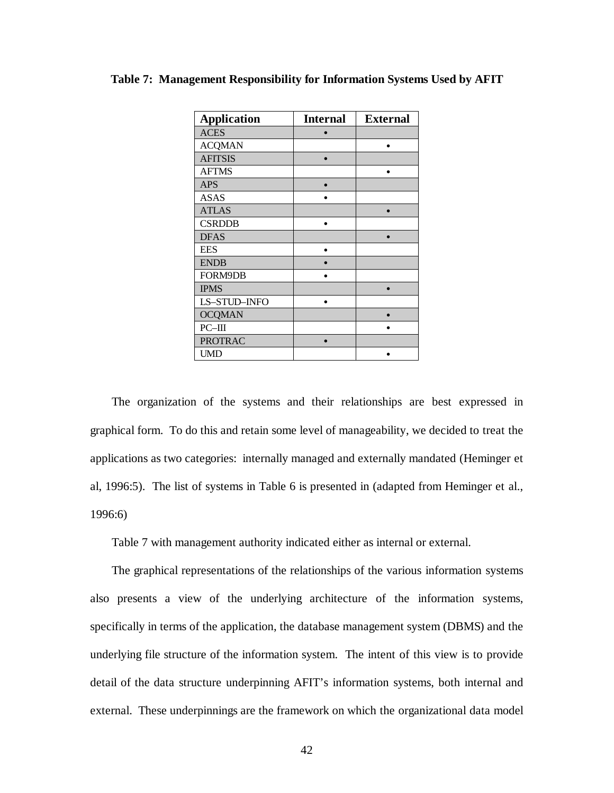| <b>Application</b> | <b>Internal</b> | <b>External</b> |
|--------------------|-----------------|-----------------|
| <b>ACES</b>        |                 |                 |
| <b>ACQMAN</b>      |                 |                 |
| <b>AFITSIS</b>     |                 |                 |
| <b>AFTMS</b>       |                 |                 |
| <b>APS</b>         |                 |                 |
| <b>ASAS</b>        |                 |                 |
| <b>ATLAS</b>       |                 |                 |
| <b>CSRDDB</b>      |                 |                 |
| <b>DFAS</b>        |                 |                 |
| <b>EES</b>         |                 |                 |
| <b>ENDB</b>        |                 |                 |
| FORM9DB            |                 |                 |
| <b>IPMS</b>        |                 |                 |
| LS-STUD-INFO       |                 |                 |
| <b>OCQMAN</b>      |                 |                 |
| $PC$ -III          |                 |                 |
| <b>PROTRAC</b>     |                 |                 |
| <b>UMD</b>         |                 |                 |

**Table 7: Management Responsibility for Information Systems Used by AFIT**

The organization of the systems and their relationships are best expressed in graphical form. To do this and retain some level of manageability, we decided to treat the applications as two categories: internally managed and externally mandated (Heminger et al, 1996:5). The list of systems in Table 6 is presented in (adapted from Heminger et al., 1996:6)

Table 7 with management authority indicated either as internal or external.

The graphical representations of the relationships of the various information systems also presents a view of the underlying architecture of the information systems, specifically in terms of the application, the database management system (DBMS) and the underlying file structure of the information system. The intent of this view is to provide detail of the data structure underpinning AFIT's information systems, both internal and external. These underpinnings are the framework on which the organizational data model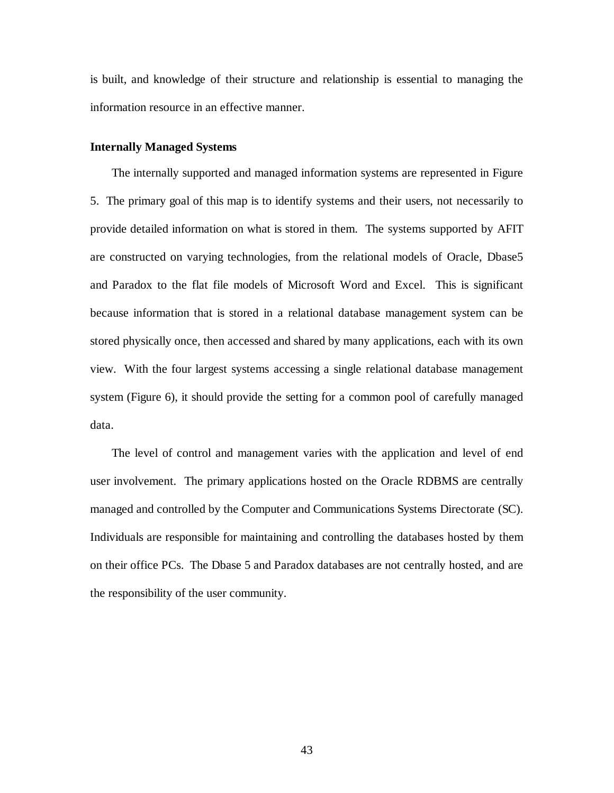is built, and knowledge of their structure and relationship is essential to managing the information resource in an effective manner.

#### **Internally Managed Systems**

The internally supported and managed information systems are represented in Figure 5. The primary goal of this map is to identify systems and their users, not necessarily to provide detailed information on what is stored in them. The systems supported by AFIT are constructed on varying technologies, from the relational models of Oracle, Dbase5 and Paradox to the flat file models of Microsoft Word and Excel. This is significant because information that is stored in a relational database management system can be stored physically once, then accessed and shared by many applications, each with its own view. With the four largest systems accessing a single relational database management system (Figure 6), it should provide the setting for a common pool of carefully managed data.

The level of control and management varies with the application and level of end user involvement. The primary applications hosted on the Oracle RDBMS are centrally managed and controlled by the Computer and Communications Systems Directorate (SC). Individuals are responsible for maintaining and controlling the databases hosted by them on their office PCs. The Dbase 5 and Paradox databases are not centrally hosted, and are the responsibility of the user community.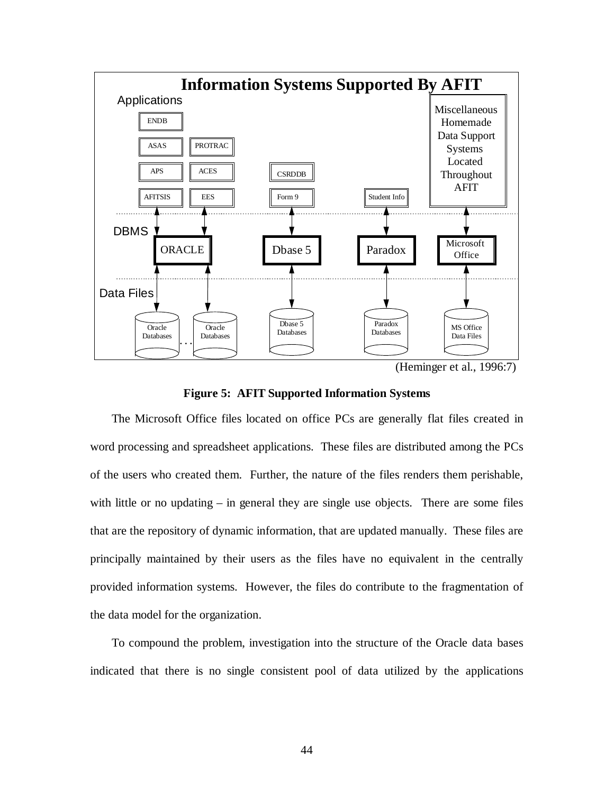

(Heminger et al., 1996:7)

### **Figure 5: AFIT Supported Information Systems**

The Microsoft Office files located on office PCs are generally flat files created in word processing and spreadsheet applications. These files are distributed among the PCs of the users who created them. Further, the nature of the files renders them perishable, with little or no updating – in general they are single use objects. There are some files that are the repository of dynamic information, that are updated manually. These files are principally maintained by their users as the files have no equivalent in the centrally provided information systems. However, the files do contribute to the fragmentation of the data model for the organization.

To compound the problem, investigation into the structure of the Oracle data bases indicated that there is no single consistent pool of data utilized by the applications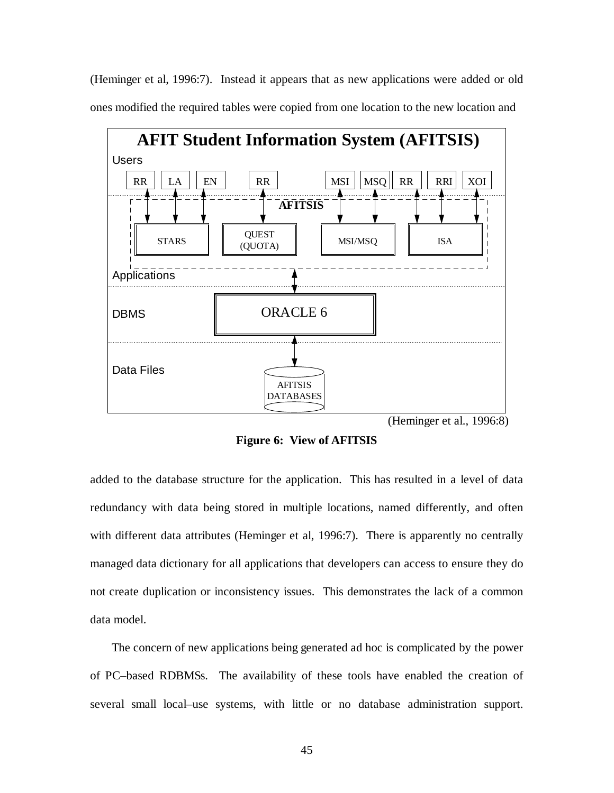(Heminger et al, 1996:7). Instead it appears that as new applications were added or old ones modified the required tables were copied from one location to the new location and



(Heminger et al., 1996:8)

**Figure 6: View of AFITSIS**

added to the database structure for the application. This has resulted in a level of data redundancy with data being stored in multiple locations, named differently, and often with different data attributes (Heminger et al, 1996:7). There is apparently no centrally managed data dictionary for all applications that developers can access to ensure they do not create duplication or inconsistency issues. This demonstrates the lack of a common data model.

The concern of new applications being generated ad hoc is complicated by the power of PC–based RDBMSs. The availability of these tools have enabled the creation of several small local–use systems, with little or no database administration support.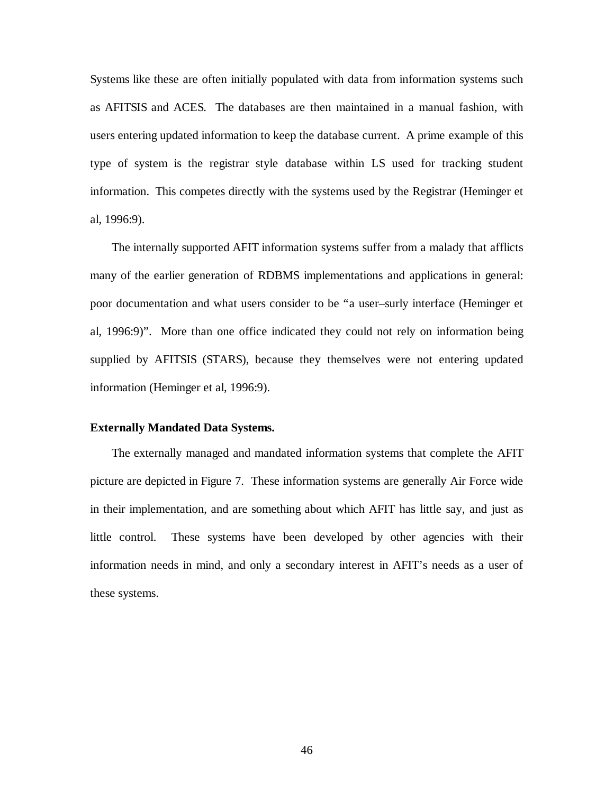Systems like these are often initially populated with data from information systems such as AFITSIS and ACES. The databases are then maintained in a manual fashion, with users entering updated information to keep the database current. A prime example of this type of system is the registrar style database within LS used for tracking student information. This competes directly with the systems used by the Registrar (Heminger et al, 1996:9).

The internally supported AFIT information systems suffer from a malady that afflicts many of the earlier generation of RDBMS implementations and applications in general: poor documentation and what users consider to be "a user–surly interface (Heminger et al, 1996:9)". More than one office indicated they could not rely on information being supplied by AFITSIS (STARS), because they themselves were not entering updated information (Heminger et al, 1996:9).

#### **Externally Mandated Data Systems.**

The externally managed and mandated information systems that complete the AFIT picture are depicted in Figure 7. These information systems are generally Air Force wide in their implementation, and are something about which AFIT has little say, and just as little control. These systems have been developed by other agencies with their information needs in mind, and only a secondary interest in AFIT's needs as a user of these systems.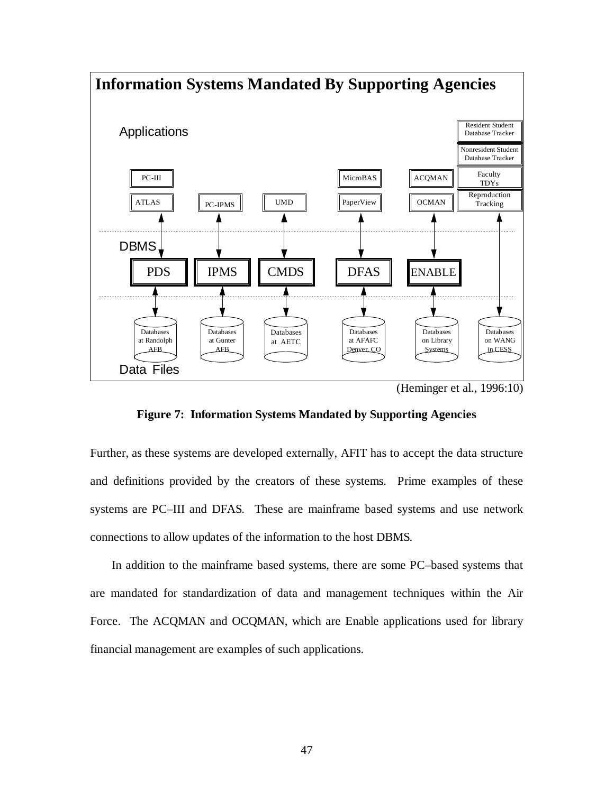

**Figure 7: Information Systems Mandated by Supporting Agencies**

Further, as these systems are developed externally, AFIT has to accept the data structure and definitions provided by the creators of these systems. Prime examples of these systems are PC–III and DFAS. These are mainframe based systems and use network connections to allow updates of the information to the host DBMS.

In addition to the mainframe based systems, there are some PC–based systems that are mandated for standardization of data and management techniques within the Air Force. The ACQMAN and OCQMAN, which are Enable applications used for library financial management are examples of such applications.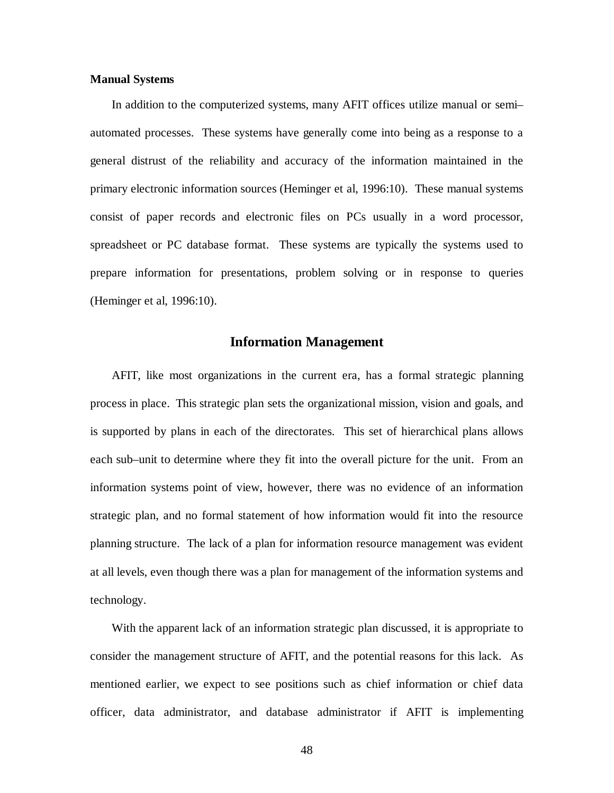#### **Manual Systems**

In addition to the computerized systems, many AFIT offices utilize manual or semi– automated processes. These systems have generally come into being as a response to a general distrust of the reliability and accuracy of the information maintained in the primary electronic information sources (Heminger et al, 1996:10). These manual systems consist of paper records and electronic files on PCs usually in a word processor, spreadsheet or PC database format. These systems are typically the systems used to prepare information for presentations, problem solving or in response to queries (Heminger et al, 1996:10).

#### **Information Management**

AFIT, like most organizations in the current era, has a formal strategic planning process in place. This strategic plan sets the organizational mission, vision and goals, and is supported by plans in each of the directorates. This set of hierarchical plans allows each sub–unit to determine where they fit into the overall picture for the unit. From an information systems point of view, however, there was no evidence of an information strategic plan, and no formal statement of how information would fit into the resource planning structure. The lack of a plan for information resource management was evident at all levels, even though there was a plan for management of the information systems and technology.

With the apparent lack of an information strategic plan discussed, it is appropriate to consider the management structure of AFIT, and the potential reasons for this lack. As mentioned earlier, we expect to see positions such as chief information or chief data officer, data administrator, and database administrator if AFIT is implementing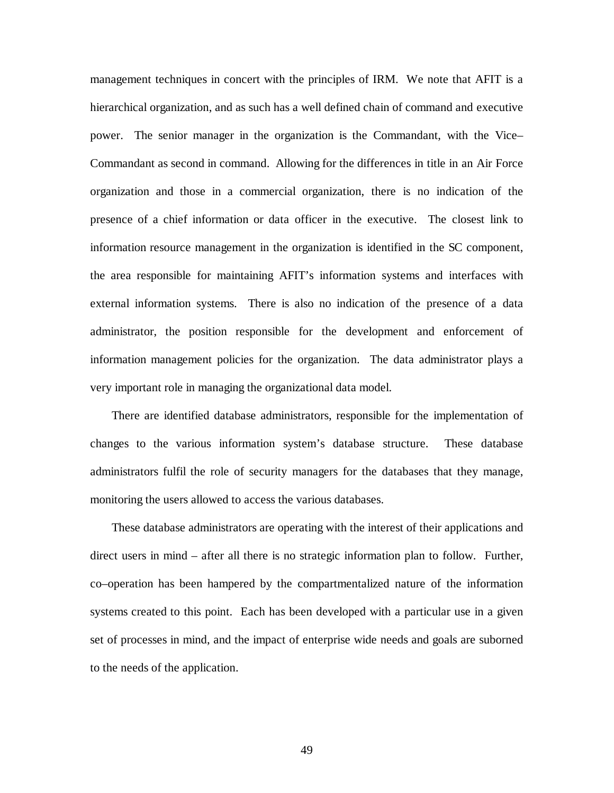management techniques in concert with the principles of IRM. We note that AFIT is a hierarchical organization, and as such has a well defined chain of command and executive power. The senior manager in the organization is the Commandant, with the Vice– Commandant as second in command. Allowing for the differences in title in an Air Force organization and those in a commercial organization, there is no indication of the presence of a chief information or data officer in the executive. The closest link to information resource management in the organization is identified in the SC component, the area responsible for maintaining AFIT's information systems and interfaces with external information systems. There is also no indication of the presence of a data administrator, the position responsible for the development and enforcement of information management policies for the organization. The data administrator plays a very important role in managing the organizational data model.

There are identified database administrators, responsible for the implementation of changes to the various information system's database structure. These database administrators fulfil the role of security managers for the databases that they manage, monitoring the users allowed to access the various databases.

These database administrators are operating with the interest of their applications and direct users in mind – after all there is no strategic information plan to follow. Further, co–operation has been hampered by the compartmentalized nature of the information systems created to this point. Each has been developed with a particular use in a given set of processes in mind, and the impact of enterprise wide needs and goals are suborned to the needs of the application.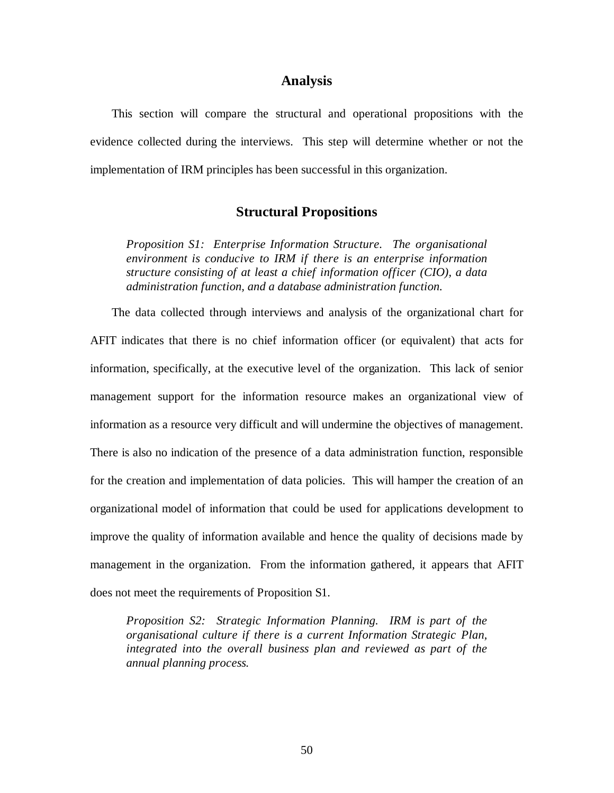### **Analysis**

This section will compare the structural and operational propositions with the evidence collected during the interviews. This step will determine whether or not the implementation of IRM principles has been successful in this organization.

## **Structural Propositions**

*Proposition S1: Enterprise Information Structure. The organisational environment is conducive to IRM if there is an enterprise information structure consisting of at least a chief information officer (CIO), a data administration function, and a database administration function.*

The data collected through interviews and analysis of the organizational chart for AFIT indicates that there is no chief information officer (or equivalent) that acts for information, specifically, at the executive level of the organization. This lack of senior management support for the information resource makes an organizational view of information as a resource very difficult and will undermine the objectives of management. There is also no indication of the presence of a data administration function, responsible for the creation and implementation of data policies. This will hamper the creation of an organizational model of information that could be used for applications development to improve the quality of information available and hence the quality of decisions made by management in the organization. From the information gathered, it appears that AFIT does not meet the requirements of Proposition S1.

*Proposition S2: Strategic Information Planning. IRM is part of the organisational culture if there is a current Information Strategic Plan, integrated into the overall business plan and reviewed as part of the annual planning process.*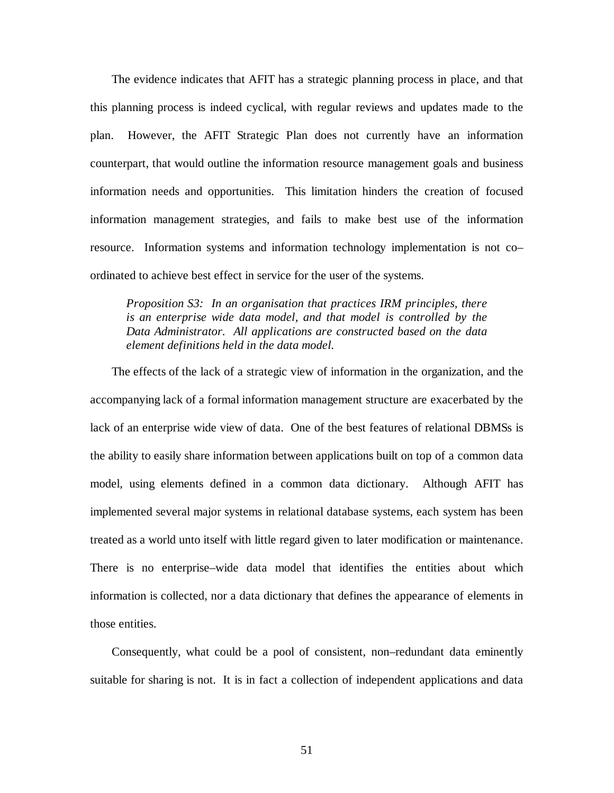The evidence indicates that AFIT has a strategic planning process in place, and that this planning process is indeed cyclical, with regular reviews and updates made to the plan. However, the AFIT Strategic Plan does not currently have an information counterpart, that would outline the information resource management goals and business information needs and opportunities. This limitation hinders the creation of focused information management strategies, and fails to make best use of the information resource. Information systems and information technology implementation is not co– ordinated to achieve best effect in service for the user of the systems.

*Proposition S3: In an organisation that practices IRM principles, there is an enterprise wide data model, and that model is controlled by the Data Administrator. All applications are constructed based on the data element definitions held in the data model.*

The effects of the lack of a strategic view of information in the organization, and the accompanying lack of a formal information management structure are exacerbated by the lack of an enterprise wide view of data. One of the best features of relational DBMSs is the ability to easily share information between applications built on top of a common data model, using elements defined in a common data dictionary. Although AFIT has implemented several major systems in relational database systems, each system has been treated as a world unto itself with little regard given to later modification or maintenance. There is no enterprise–wide data model that identifies the entities about which information is collected, nor a data dictionary that defines the appearance of elements in those entities.

Consequently, what could be a pool of consistent, non–redundant data eminently suitable for sharing is not. It is in fact a collection of independent applications and data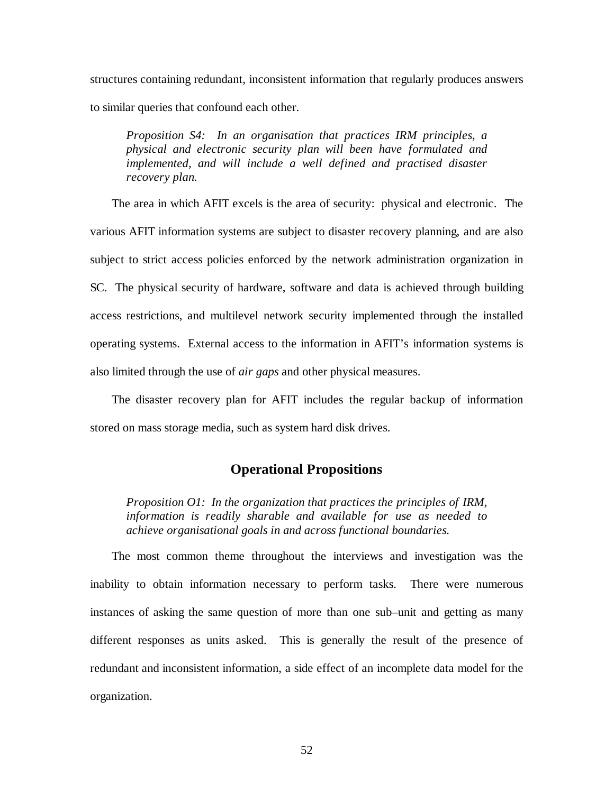structures containing redundant, inconsistent information that regularly produces answers to similar queries that confound each other.

*Proposition S4: In an organisation that practices IRM principles, a physical and electronic security plan will been have formulated and implemented, and will include a well defined and practised disaster recovery plan.*

The area in which AFIT excels is the area of security: physical and electronic. The various AFIT information systems are subject to disaster recovery planning, and are also subject to strict access policies enforced by the network administration organization in SC. The physical security of hardware, software and data is achieved through building access restrictions, and multilevel network security implemented through the installed operating systems. External access to the information in AFIT's information systems is also limited through the use of *air gaps* and other physical measures.

The disaster recovery plan for AFIT includes the regular backup of information stored on mass storage media, such as system hard disk drives.

# **Operational Propositions**

*Proposition O1: In the organization that practices the principles of IRM, information is readily sharable and available for use as needed to achieve organisational goals in and across functional boundaries.*

The most common theme throughout the interviews and investigation was the inability to obtain information necessary to perform tasks. There were numerous instances of asking the same question of more than one sub–unit and getting as many different responses as units asked. This is generally the result of the presence of redundant and inconsistent information, a side effect of an incomplete data model for the organization.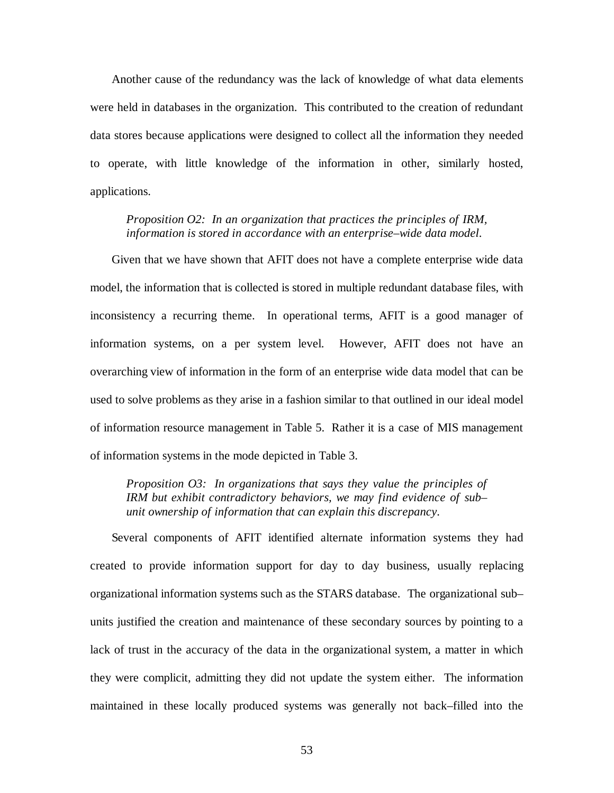Another cause of the redundancy was the lack of knowledge of what data elements were held in databases in the organization. This contributed to the creation of redundant data stores because applications were designed to collect all the information they needed to operate, with little knowledge of the information in other, similarly hosted, applications.

*Proposition O2: In an organization that practices the principles of IRM, information is stored in accordance with an enterprise–wide data model.*

Given that we have shown that AFIT does not have a complete enterprise wide data model, the information that is collected is stored in multiple redundant database files, with inconsistency a recurring theme. In operational terms, AFIT is a good manager of information systems, on a per system level. However, AFIT does not have an overarching view of information in the form of an enterprise wide data model that can be used to solve problems as they arise in a fashion similar to that outlined in our ideal model of information resource management in Table 5. Rather it is a case of MIS management of information systems in the mode depicted in Table 3.

*Proposition O3: In organizations that says they value the principles of IRM but exhibit contradictory behaviors, we may find evidence of sub– unit ownership of information that can explain this discrepancy.*

Several components of AFIT identified alternate information systems they had created to provide information support for day to day business, usually replacing organizational information systems such as the STARS database. The organizational sub– units justified the creation and maintenance of these secondary sources by pointing to a lack of trust in the accuracy of the data in the organizational system, a matter in which they were complicit, admitting they did not update the system either. The information maintained in these locally produced systems was generally not back–filled into the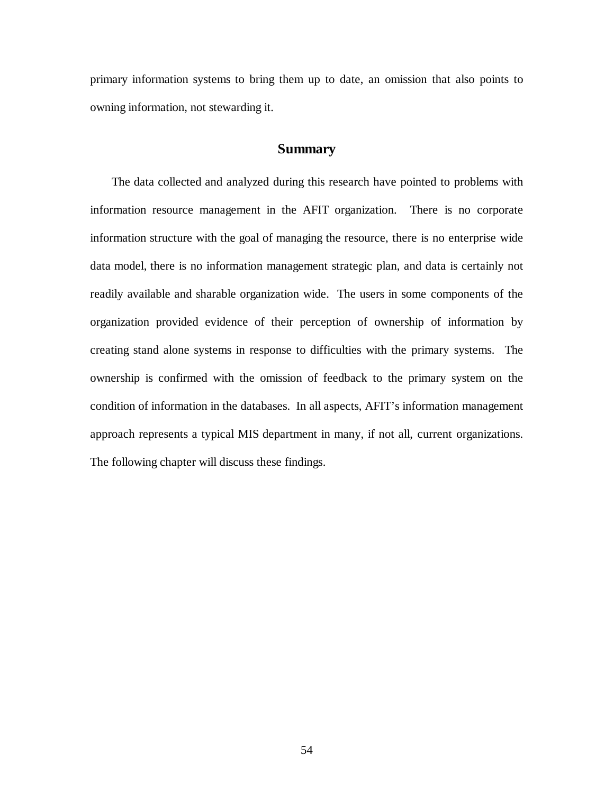primary information systems to bring them up to date, an omission that also points to owning information, not stewarding it.

## **Summary**

The data collected and analyzed during this research have pointed to problems with information resource management in the AFIT organization. There is no corporate information structure with the goal of managing the resource, there is no enterprise wide data model, there is no information management strategic plan, and data is certainly not readily available and sharable organization wide. The users in some components of the organization provided evidence of their perception of ownership of information by creating stand alone systems in response to difficulties with the primary systems. The ownership is confirmed with the omission of feedback to the primary system on the condition of information in the databases. In all aspects, AFIT's information management approach represents a typical MIS department in many, if not all, current organizations. The following chapter will discuss these findings.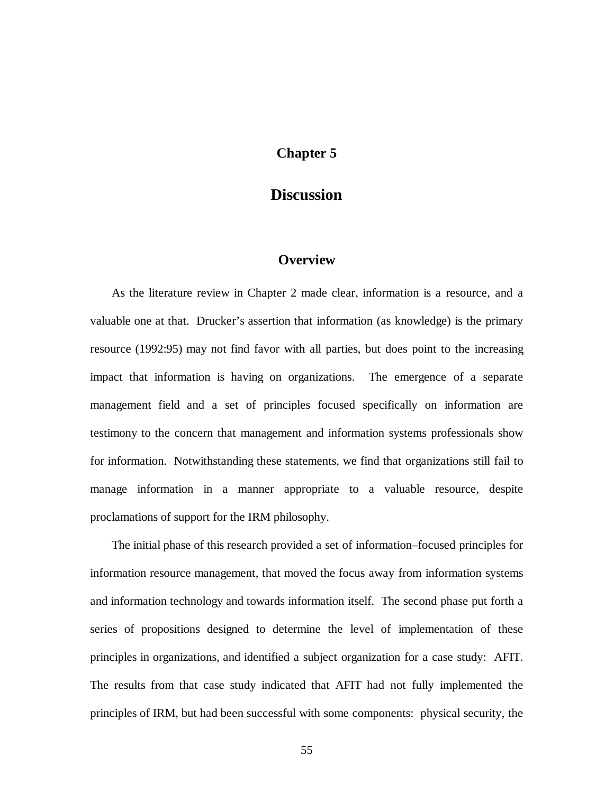# **Chapter 5**

# **Discussion**

# **Overview**

As the literature review in Chapter 2 made clear, information is a resource, and a valuable one at that. Drucker's assertion that information (as knowledge) is the primary resource (1992:95) may not find favor with all parties, but does point to the increasing impact that information is having on organizations. The emergence of a separate management field and a set of principles focused specifically on information are testimony to the concern that management and information systems professionals show for information. Notwithstanding these statements, we find that organizations still fail to manage information in a manner appropriate to a valuable resource, despite proclamations of support for the IRM philosophy.

The initial phase of this research provided a set of information–focused principles for information resource management, that moved the focus away from information systems and information technology and towards information itself. The second phase put forth a series of propositions designed to determine the level of implementation of these principles in organizations, and identified a subject organization for a case study: AFIT. The results from that case study indicated that AFIT had not fully implemented the principles of IRM, but had been successful with some components: physical security, the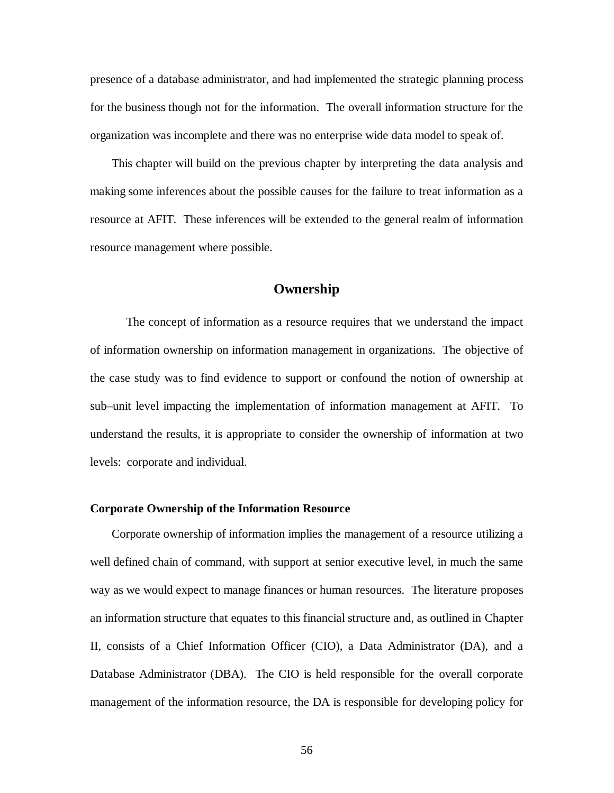presence of a database administrator, and had implemented the strategic planning process for the business though not for the information. The overall information structure for the organization was incomplete and there was no enterprise wide data model to speak of.

This chapter will build on the previous chapter by interpreting the data analysis and making some inferences about the possible causes for the failure to treat information as a resource at AFIT. These inferences will be extended to the general realm of information resource management where possible.

# **Ownership**

The concept of information as a resource requires that we understand the impact of information ownership on information management in organizations. The objective of the case study was to find evidence to support or confound the notion of ownership at sub–unit level impacting the implementation of information management at AFIT. To understand the results, it is appropriate to consider the ownership of information at two levels: corporate and individual.

#### **Corporate Ownership of the Information Resource**

Corporate ownership of information implies the management of a resource utilizing a well defined chain of command, with support at senior executive level, in much the same way as we would expect to manage finances or human resources. The literature proposes an information structure that equates to this financial structure and, as outlined in Chapter II, consists of a Chief Information Officer (CIO), a Data Administrator (DA), and a Database Administrator (DBA). The CIO is held responsible for the overall corporate management of the information resource, the DA is responsible for developing policy for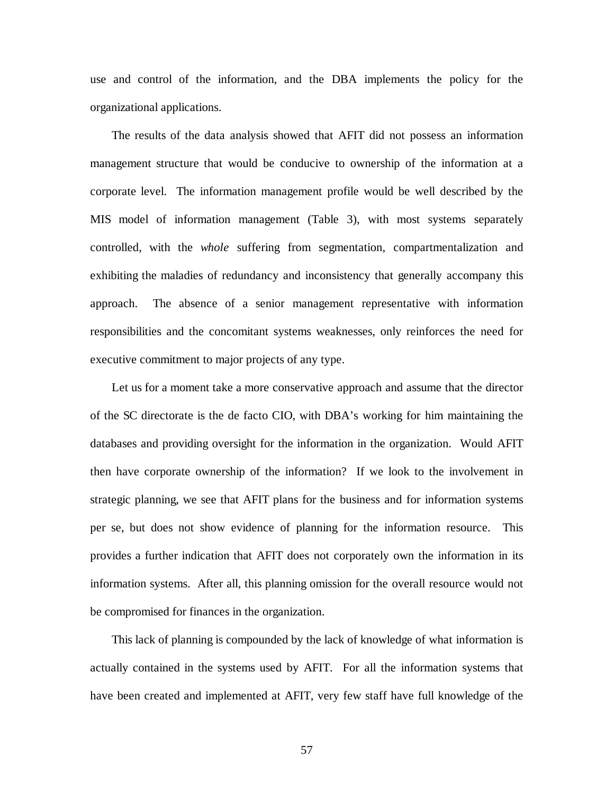use and control of the information, and the DBA implements the policy for the organizational applications.

The results of the data analysis showed that AFIT did not possess an information management structure that would be conducive to ownership of the information at a corporate level. The information management profile would be well described by the MIS model of information management (Table 3), with most systems separately controlled, with the *whole* suffering from segmentation, compartmentalization and exhibiting the maladies of redundancy and inconsistency that generally accompany this approach. The absence of a senior management representative with information responsibilities and the concomitant systems weaknesses, only reinforces the need for executive commitment to major projects of any type.

Let us for a moment take a more conservative approach and assume that the director of the SC directorate is the de facto CIO, with DBA's working for him maintaining the databases and providing oversight for the information in the organization. Would AFIT then have corporate ownership of the information? If we look to the involvement in strategic planning, we see that AFIT plans for the business and for information systems per se, but does not show evidence of planning for the information resource. This provides a further indication that AFIT does not corporately own the information in its information systems. After all, this planning omission for the overall resource would not be compromised for finances in the organization.

This lack of planning is compounded by the lack of knowledge of what information is actually contained in the systems used by AFIT. For all the information systems that have been created and implemented at AFIT, very few staff have full knowledge of the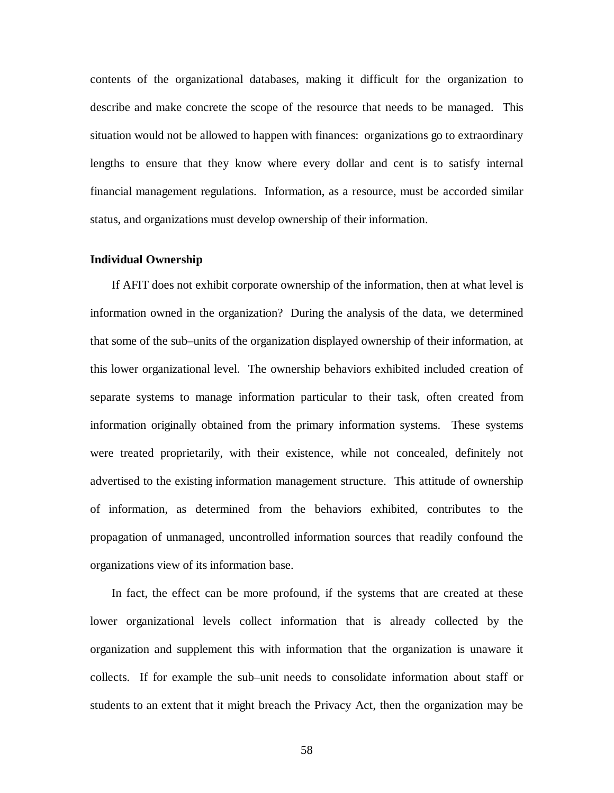contents of the organizational databases, making it difficult for the organization to describe and make concrete the scope of the resource that needs to be managed. This situation would not be allowed to happen with finances: organizations go to extraordinary lengths to ensure that they know where every dollar and cent is to satisfy internal financial management regulations. Information, as a resource, must be accorded similar status, and organizations must develop ownership of their information.

#### **Individual Ownership**

If AFIT does not exhibit corporate ownership of the information, then at what level is information owned in the organization? During the analysis of the data, we determined that some of the sub–units of the organization displayed ownership of their information, at this lower organizational level. The ownership behaviors exhibited included creation of separate systems to manage information particular to their task, often created from information originally obtained from the primary information systems. These systems were treated proprietarily, with their existence, while not concealed, definitely not advertised to the existing information management structure. This attitude of ownership of information, as determined from the behaviors exhibited, contributes to the propagation of unmanaged, uncontrolled information sources that readily confound the organizations view of its information base.

In fact, the effect can be more profound, if the systems that are created at these lower organizational levels collect information that is already collected by the organization and supplement this with information that the organization is unaware it collects. If for example the sub–unit needs to consolidate information about staff or students to an extent that it might breach the Privacy Act, then the organization may be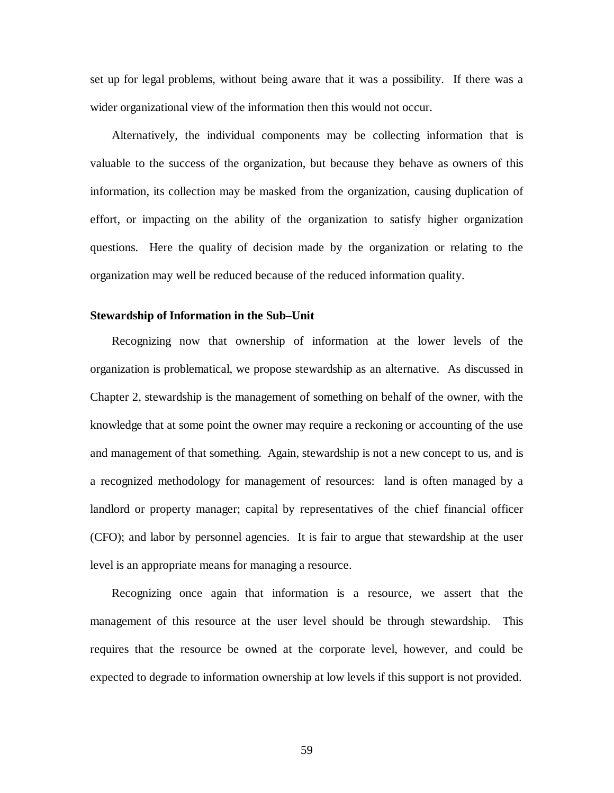set up for legal problems, without being aware that it was a possibility. If there was a wider organizational view of the information then this would not occur.

Alternatively, the individual components may be collecting information that is valuable to the success of the organization, but because they behave as owners of this information, its collection may be masked from the organization, causing duplication of effort, or impacting on the ability of the organization to satisfy higher organization questions. Here the quality of decision made by the organization or relating to the organization may well be reduced because of the reduced information quality.

#### **Stewardship of Information in the Sub–Unit**

Recognizing now that ownership of information at the lower levels of the organization is problematical, we propose stewardship as an alternative. As discussed in Chapter 2, stewardship is the management of something on behalf of the owner, with the knowledge that at some point the owner may require a reckoning or accounting of the use and management of that something. Again, stewardship is not a new concept to us, and is a recognized methodology for management of resources: land is often managed by a landlord or property manager; capital by representatives of the chief financial officer (CFO); and labor by personnel agencies. It is fair to argue that stewardship at the user level is an appropriate means for managing a resource.

Recognizing once again that information is a resource, we assert that the management of this resource at the user level should be through stewardship. This requires that the resource be owned at the corporate level, however, and could be expected to degrade to information ownership at low levels if this support is not provided.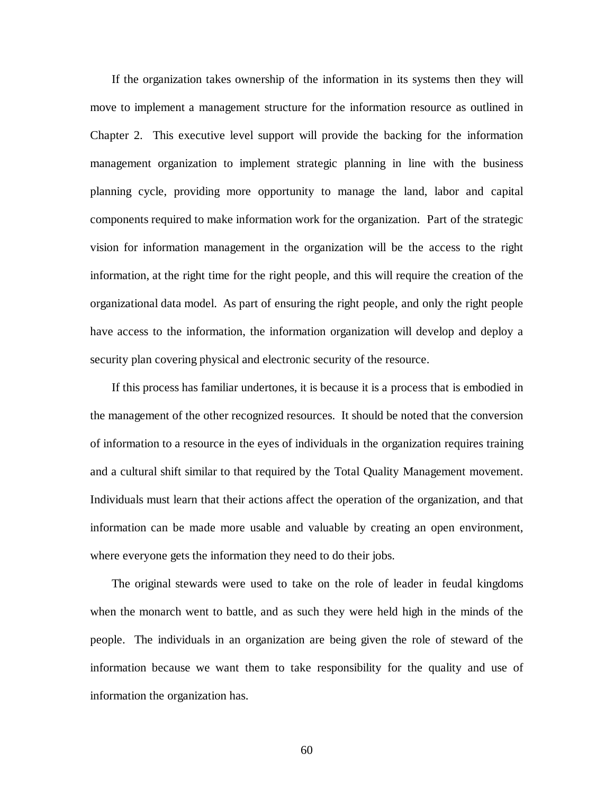If the organization takes ownership of the information in its systems then they will move to implement a management structure for the information resource as outlined in Chapter 2. This executive level support will provide the backing for the information management organization to implement strategic planning in line with the business planning cycle, providing more opportunity to manage the land, labor and capital components required to make information work for the organization. Part of the strategic vision for information management in the organization will be the access to the right information, at the right time for the right people, and this will require the creation of the organizational data model. As part of ensuring the right people, and only the right people have access to the information, the information organization will develop and deploy a security plan covering physical and electronic security of the resource.

If this process has familiar undertones, it is because it is a process that is embodied in the management of the other recognized resources. It should be noted that the conversion of information to a resource in the eyes of individuals in the organization requires training and a cultural shift similar to that required by the Total Quality Management movement. Individuals must learn that their actions affect the operation of the organization, and that information can be made more usable and valuable by creating an open environment, where everyone gets the information they need to do their jobs.

The original stewards were used to take on the role of leader in feudal kingdoms when the monarch went to battle, and as such they were held high in the minds of the people. The individuals in an organization are being given the role of steward of the information because we want them to take responsibility for the quality and use of information the organization has.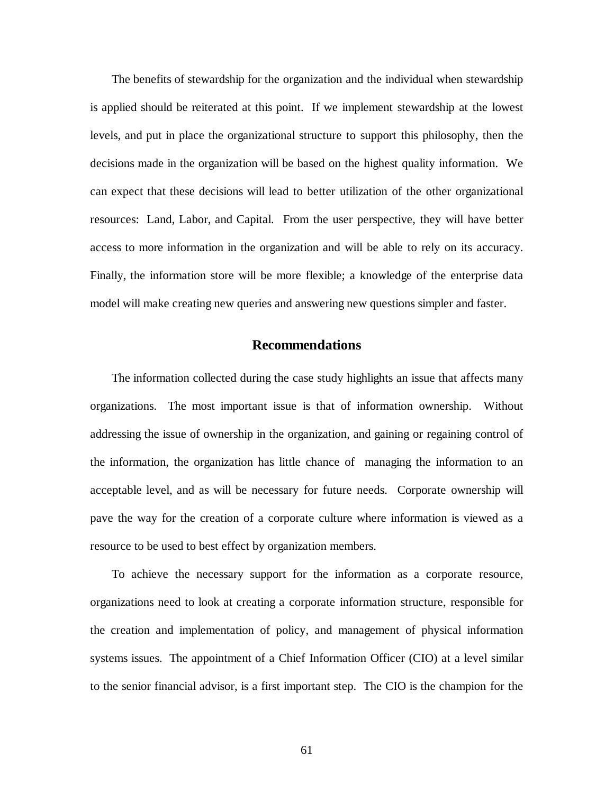The benefits of stewardship for the organization and the individual when stewardship is applied should be reiterated at this point. If we implement stewardship at the lowest levels, and put in place the organizational structure to support this philosophy, then the decisions made in the organization will be based on the highest quality information. We can expect that these decisions will lead to better utilization of the other organizational resources: Land, Labor, and Capital. From the user perspective, they will have better access to more information in the organization and will be able to rely on its accuracy. Finally, the information store will be more flexible; a knowledge of the enterprise data model will make creating new queries and answering new questions simpler and faster.

## **Recommendations**

The information collected during the case study highlights an issue that affects many organizations. The most important issue is that of information ownership. Without addressing the issue of ownership in the organization, and gaining or regaining control of the information, the organization has little chance of managing the information to an acceptable level, and as will be necessary for future needs. Corporate ownership will pave the way for the creation of a corporate culture where information is viewed as a resource to be used to best effect by organization members.

To achieve the necessary support for the information as a corporate resource, organizations need to look at creating a corporate information structure, responsible for the creation and implementation of policy, and management of physical information systems issues. The appointment of a Chief Information Officer (CIO) at a level similar to the senior financial advisor, is a first important step. The CIO is the champion for the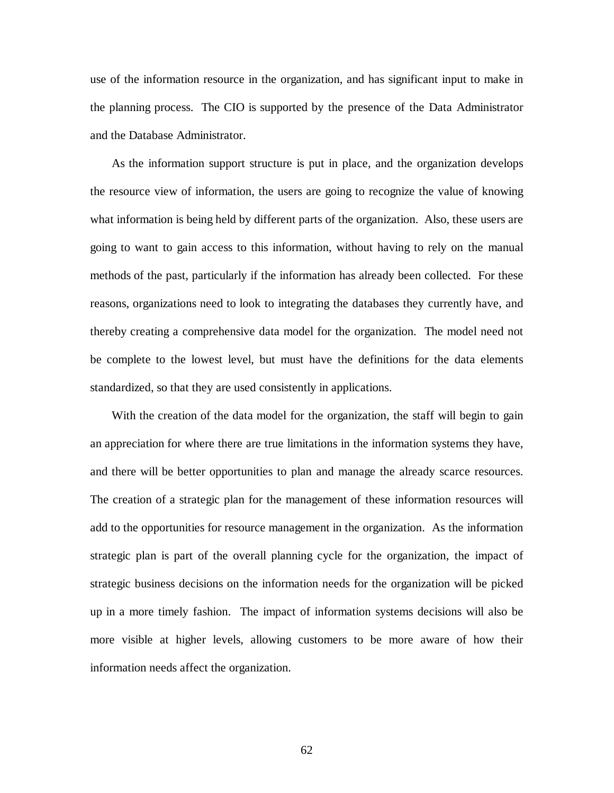use of the information resource in the organization, and has significant input to make in the planning process. The CIO is supported by the presence of the Data Administrator and the Database Administrator.

As the information support structure is put in place, and the organization develops the resource view of information, the users are going to recognize the value of knowing what information is being held by different parts of the organization. Also, these users are going to want to gain access to this information, without having to rely on the manual methods of the past, particularly if the information has already been collected. For these reasons, organizations need to look to integrating the databases they currently have, and thereby creating a comprehensive data model for the organization. The model need not be complete to the lowest level, but must have the definitions for the data elements standardized, so that they are used consistently in applications.

With the creation of the data model for the organization, the staff will begin to gain an appreciation for where there are true limitations in the information systems they have, and there will be better opportunities to plan and manage the already scarce resources. The creation of a strategic plan for the management of these information resources will add to the opportunities for resource management in the organization. As the information strategic plan is part of the overall planning cycle for the organization, the impact of strategic business decisions on the information needs for the organization will be picked up in a more timely fashion. The impact of information systems decisions will also be more visible at higher levels, allowing customers to be more aware of how their information needs affect the organization.

62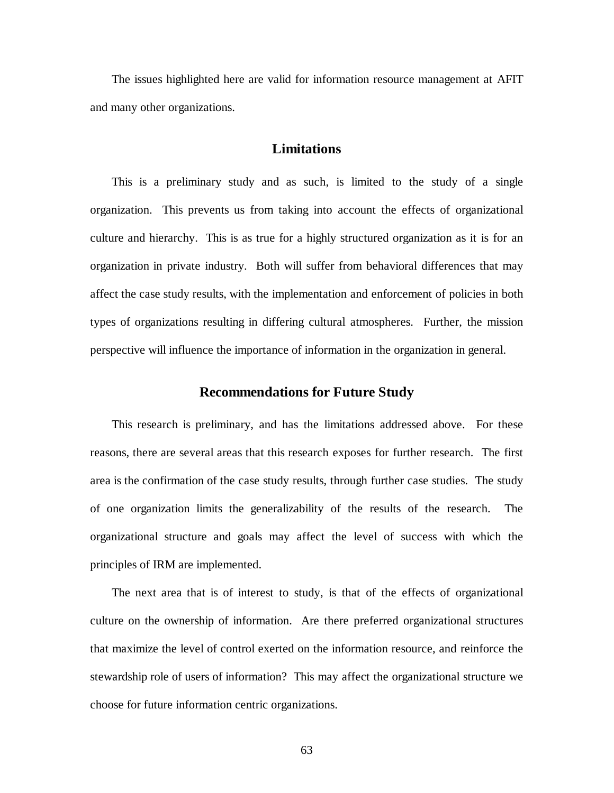The issues highlighted here are valid for information resource management at AFIT and many other organizations.

## **Limitations**

This is a preliminary study and as such, is limited to the study of a single organization. This prevents us from taking into account the effects of organizational culture and hierarchy. This is as true for a highly structured organization as it is for an organization in private industry. Both will suffer from behavioral differences that may affect the case study results, with the implementation and enforcement of policies in both types of organizations resulting in differing cultural atmospheres. Further, the mission perspective will influence the importance of information in the organization in general.

### **Recommendations for Future Study**

This research is preliminary, and has the limitations addressed above. For these reasons, there are several areas that this research exposes for further research. The first area is the confirmation of the case study results, through further case studies. The study of one organization limits the generalizability of the results of the research. The organizational structure and goals may affect the level of success with which the principles of IRM are implemented.

The next area that is of interest to study, is that of the effects of organizational culture on the ownership of information. Are there preferred organizational structures that maximize the level of control exerted on the information resource, and reinforce the stewardship role of users of information? This may affect the organizational structure we choose for future information centric organizations.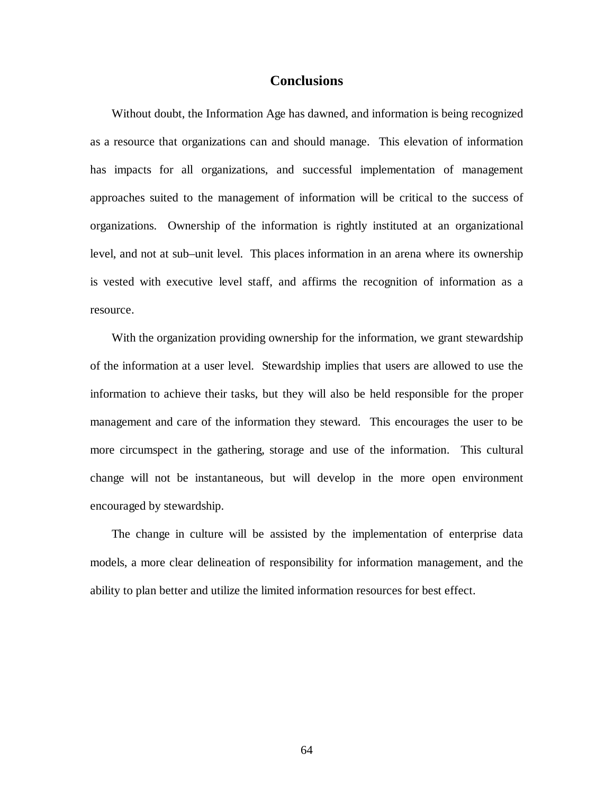## **Conclusions**

Without doubt, the Information Age has dawned, and information is being recognized as a resource that organizations can and should manage. This elevation of information has impacts for all organizations, and successful implementation of management approaches suited to the management of information will be critical to the success of organizations. Ownership of the information is rightly instituted at an organizational level, and not at sub–unit level. This places information in an arena where its ownership is vested with executive level staff, and affirms the recognition of information as a resource.

With the organization providing ownership for the information, we grant stewardship of the information at a user level. Stewardship implies that users are allowed to use the information to achieve their tasks, but they will also be held responsible for the proper management and care of the information they steward. This encourages the user to be more circumspect in the gathering, storage and use of the information. This cultural change will not be instantaneous, but will develop in the more open environment encouraged by stewardship.

The change in culture will be assisted by the implementation of enterprise data models, a more clear delineation of responsibility for information management, and the ability to plan better and utilize the limited information resources for best effect.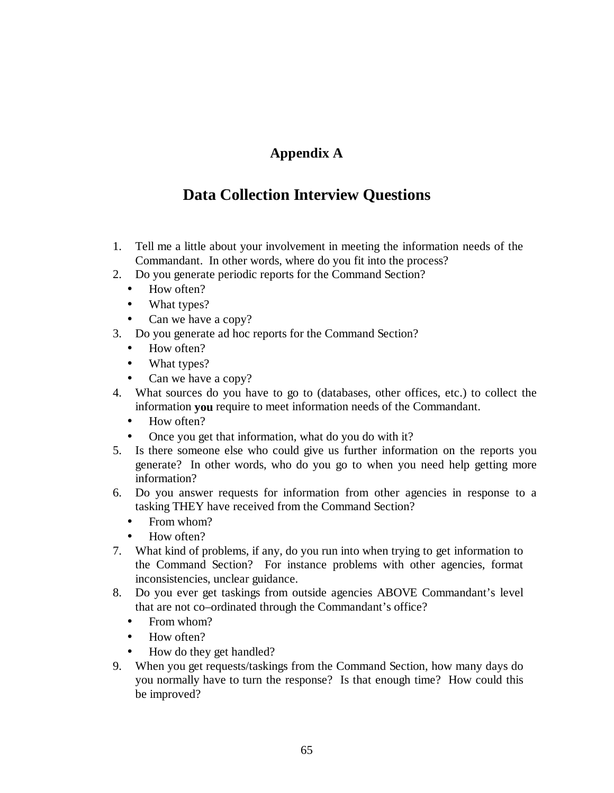#### **Appendix A**

### **Data Collection Interview Questions**

- 1. Tell me a little about your involvement in meeting the information needs of the Commandant. In other words, where do you fit into the process?
- 2. Do you generate periodic reports for the Command Section?
	- How often?
	- What types?
	- Can we have a copy?
- 3. Do you generate ad hoc reports for the Command Section?
	- How often?
	- What types?
	- Can we have a copy?
- 4. What sources do you have to go to (databases, other offices, etc.) to collect the information **you** require to meet information needs of the Commandant.
	- How often?
	- Once you get that information, what do you do with it?
- 5. Is there someone else who could give us further information on the reports you generate? In other words, who do you go to when you need help getting more information?
- 6. Do you answer requests for information from other agencies in response to a tasking THEY have received from the Command Section?
	- From whom?
	- How often?
- 7. What kind of problems, if any, do you run into when trying to get information to the Command Section? For instance problems with other agencies, format inconsistencies, unclear guidance.
- 8. Do you ever get taskings from outside agencies ABOVE Commandant's level that are not co–ordinated through the Commandant's office?
	- From whom?
	- How often?
	- How do they get handled?
- 9. When you get requests/taskings from the Command Section, how many days do you normally have to turn the response? Is that enough time? How could this be improved?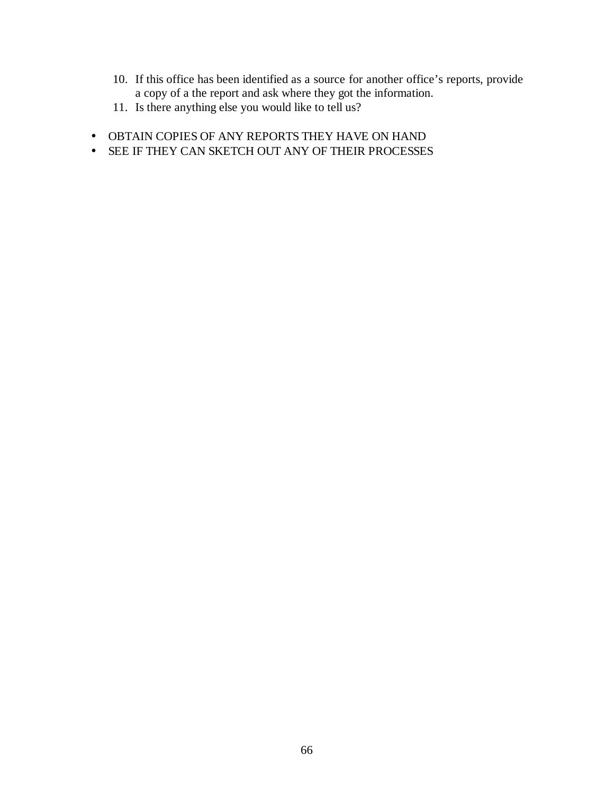- 10. If this office has been identified as a source for another office's reports, provide a copy of a the report and ask where they got the information.
- 11. Is there anything else you would like to tell us?
- OBTAIN COPIES OF ANY REPORTS THEY HAVE ON HAND
- SEE IF THEY CAN SKETCH OUT ANY OF THEIR PROCESSES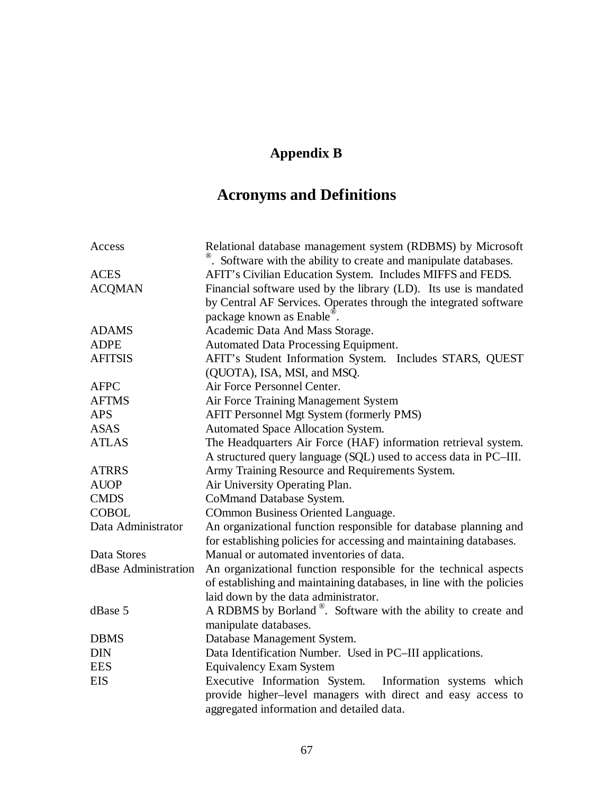## **Appendix B**

# **Acronyms and Definitions**

| . Software with the ability to create and manipulate databases.                                                                                       |  |
|-------------------------------------------------------------------------------------------------------------------------------------------------------|--|
| AFIT's Civilian Education System. Includes MIFFS and FEDS.<br><b>ACES</b>                                                                             |  |
| Financial software used by the library (LD). Its use is mandated<br><b>ACQMAN</b><br>by Central AF Services. Operates through the integrated software |  |
| package known as Enable.                                                                                                                              |  |
| <b>ADAMS</b><br>Academic Data And Mass Storage.                                                                                                       |  |
| <b>ADPE</b><br>Automated Data Processing Equipment.                                                                                                   |  |
| AFIT's Student Information System. Includes STARS, QUEST<br><b>AFITSIS</b>                                                                            |  |
| (QUOTA), ISA, MSI, and MSQ.                                                                                                                           |  |
| Air Force Personnel Center.<br><b>AFPC</b>                                                                                                            |  |
| Air Force Training Management System<br><b>AFTMS</b>                                                                                                  |  |
| AFIT Personnel Mgt System (formerly PMS)<br><b>APS</b>                                                                                                |  |
| <b>ASAS</b><br>Automated Space Allocation System.                                                                                                     |  |
| <b>ATLAS</b><br>The Headquarters Air Force (HAF) information retrieval system.                                                                        |  |
| A structured query language (SQL) used to access data in PC-III.                                                                                      |  |
| Army Training Resource and Requirements System.<br><b>ATRRS</b>                                                                                       |  |
| <b>AUOP</b><br>Air University Operating Plan.                                                                                                         |  |
| <b>CMDS</b><br>CoMmand Database System.                                                                                                               |  |
| <b>COBOL</b><br>COmmon Business Oriented Language.                                                                                                    |  |
| Data Administrator<br>An organizational function responsible for database planning and                                                                |  |
| for establishing policies for accessing and maintaining databases.                                                                                    |  |
| Data Stores<br>Manual or automated inventories of data.                                                                                               |  |
| dBase Administration<br>An organizational function responsible for the technical aspects                                                              |  |
| of establishing and maintaining databases, in line with the policies                                                                                  |  |
| laid down by the data administrator.                                                                                                                  |  |
| A RDBMS by Borland <sup>®</sup> . Software with the ability to create and<br>dBase 5                                                                  |  |
| manipulate databases.                                                                                                                                 |  |
| <b>DBMS</b><br>Database Management System.                                                                                                            |  |
| <b>DIN</b><br>Data Identification Number. Used in PC-III applications.                                                                                |  |
| <b>EES</b><br><b>Equivalency Exam System</b>                                                                                                          |  |
| Executive Information System. Information systems which<br><b>EIS</b><br>provide higher-level managers with direct and easy access to                 |  |
| aggregated information and detailed data.                                                                                                             |  |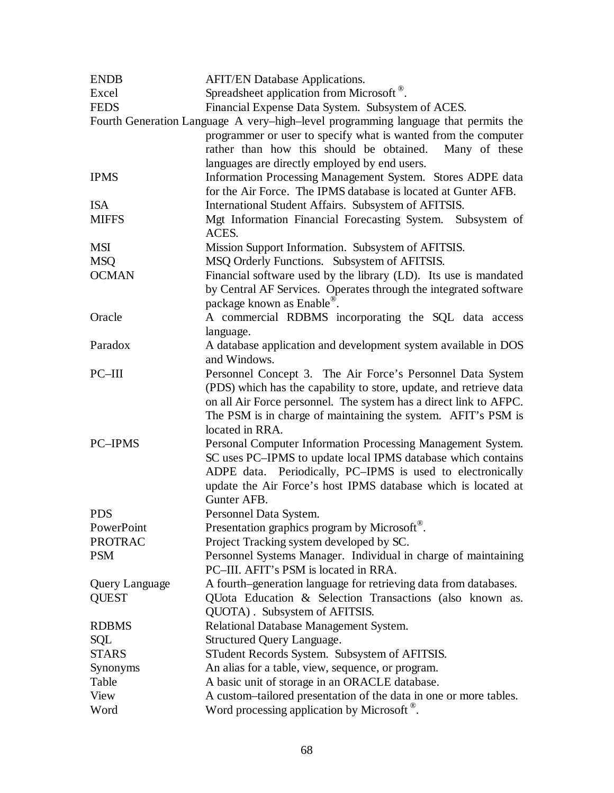| <b>ENDB</b>                                                                        | <b>AFIT/EN Database Applications.</b>                              |  |
|------------------------------------------------------------------------------------|--------------------------------------------------------------------|--|
| Excel                                                                              | Spreadsheet application from Microsoft <sup>®</sup> .              |  |
| <b>FEDS</b>                                                                        | Financial Expense Data System. Subsystem of ACES.                  |  |
| Fourth Generation Language A very-high-level programming language that permits the |                                                                    |  |
|                                                                                    | programmer or user to specify what is wanted from the computer     |  |
|                                                                                    | rather than how this should be obtained.<br>Many of these          |  |
|                                                                                    | languages are directly employed by end users.                      |  |
| <b>IPMS</b>                                                                        | Information Processing Management System. Stores ADPE data         |  |
|                                                                                    | for the Air Force. The IPMS database is located at Gunter AFB.     |  |
| <b>ISA</b>                                                                         | International Student Affairs. Subsystem of AFITSIS.               |  |
| <b>MIFFS</b>                                                                       | Mgt Information Financial Forecasting System. Subsystem of         |  |
|                                                                                    | ACES.                                                              |  |
| <b>MSI</b>                                                                         | Mission Support Information. Subsystem of AFITSIS.                 |  |
| <b>MSQ</b>                                                                         | MSQ Orderly Functions. Subsystem of AFITSIS.                       |  |
| <b>OCMAN</b>                                                                       | Financial software used by the library (LD). Its use is mandated   |  |
|                                                                                    | by Central AF Services. Operates through the integrated software   |  |
|                                                                                    | package known as Enable.                                           |  |
| Oracle                                                                             | A commercial RDBMS incorporating the SQL data access               |  |
|                                                                                    | language.                                                          |  |
| Paradox                                                                            | A database application and development system available in DOS     |  |
|                                                                                    | and Windows.                                                       |  |
| PC-III                                                                             | Personnel Concept 3. The Air Force's Personnel Data System         |  |
|                                                                                    | (PDS) which has the capability to store, update, and retrieve data |  |
|                                                                                    | on all Air Force personnel. The system has a direct link to AFPC.  |  |
|                                                                                    | The PSM is in charge of maintaining the system. AFIT's PSM is      |  |
|                                                                                    | located in RRA.                                                    |  |
| <b>PC-IPMS</b>                                                                     | Personal Computer Information Processing Management System.        |  |
|                                                                                    | SC uses PC-IPMS to update local IPMS database which contains       |  |
|                                                                                    | ADPE data. Periodically, PC-IPMS is used to electronically         |  |
|                                                                                    | update the Air Force's host IPMS database which is located at      |  |
|                                                                                    | Gunter AFB.                                                        |  |
| <b>PDS</b>                                                                         | Personnel Data System.                                             |  |
| PowerPoint                                                                         | Presentation graphics program by Microsoft®.                       |  |
| <b>PROTRAC</b>                                                                     | Project Tracking system developed by SC.                           |  |
| <b>PSM</b>                                                                         | Personnel Systems Manager. Individual in charge of maintaining     |  |
|                                                                                    | PC-III. AFIT's PSM is located in RRA.                              |  |
| Query Language                                                                     | A fourth–generation language for retrieving data from databases.   |  |
| <b>QUEST</b>                                                                       | QUota Education & Selection Transactions (also known as.           |  |
|                                                                                    | QUOTA). Subsystem of AFITSIS.                                      |  |
| <b>RDBMS</b>                                                                       | Relational Database Management System.                             |  |
| SQL                                                                                | Structured Query Language.                                         |  |
| <b>STARS</b>                                                                       | STudent Records System. Subsystem of AFITSIS.                      |  |
| Synonyms                                                                           | An alias for a table, view, sequence, or program.                  |  |
| Table                                                                              | A basic unit of storage in an ORACLE database.                     |  |
| View                                                                               | A custom-tailored presentation of the data in one or more tables.  |  |
| Word                                                                               | Word processing application by Microsoft <sup>®</sup> .            |  |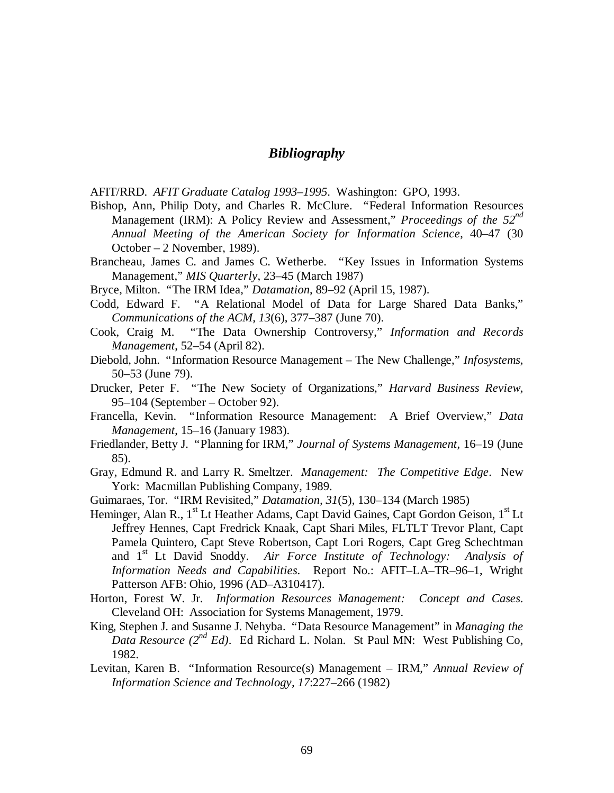#### *Bibliography*

AFIT/RRD. *AFIT Graduate Catalog 1993–1995*. Washington: GPO, 1993.

- Bishop, Ann, Philip Doty, and Charles R. McClure. "Federal Information Resources Management (IRM): A Policy Review and Assessment," *Proceedings of the 52nd Annual Meeting of the American Society for Information Science*, 40–47 (30 October – 2 November, 1989).
- Brancheau, James C. and James C. Wetherbe. "Key Issues in Information Systems Management," *MIS Quarterly*, 23–45 (March 1987)
- Bryce, Milton. "The IRM Idea," *Datamation*, 89–92 (April 15, 1987).
- Codd, Edward F. "A Relational Model of Data for Large Shared Data Banks," *Communications of the ACM, 13*(6), 377–387 (June 70).
- Cook, Craig M. "The Data Ownership Controversy," *Information and Records Management*, 52–54 (April 82).
- Diebold, John. "Information Resource Management The New Challenge," *Infosystems*, 50–53 (June 79).
- Drucker, Peter F. "The New Society of Organizations," *Harvard Business Review*, 95–104 (September – October 92).
- Francella, Kevin. "Information Resource Management: A Brief Overview," *Data Management*, 15–16 (January 1983).
- Friedlander, Betty J. "Planning for IRM," *Journal of Systems Management*, 16–19 (June 85).
- Gray, Edmund R. and Larry R. Smeltzer. *Management: The Competitive Edge*. New York: Macmillan Publishing Company, 1989.
- Guimaraes, Tor. "IRM Revisited," *Datamation, 31*(5), 130–134 (March 1985)
- Heminger, Alan R., 1<sup>st</sup> Lt Heather Adams, Capt David Gaines, Capt Gordon Geison, 1<sup>st</sup> Lt Jeffrey Hennes, Capt Fredrick Knaak, Capt Shari Miles, FLTLT Trevor Plant, Capt Pamela Quintero, Capt Steve Robertson, Capt Lori Rogers, Capt Greg Schechtman and 1st Lt David Snoddy. *Air Force Institute of Technology: Analysis of Information Needs and Capabilities*. Report No.: AFIT–LA–TR–96–1, Wright Patterson AFB: Ohio, 1996 (AD–A310417).
- Horton, Forest W. Jr. *Information Resources Management: Concept and Cases*. Cleveland OH: Association for Systems Management, 1979.
- King, Stephen J. and Susanne J. Nehyba. "Data Resource Management" in *Managing the Data Resource (2nd Ed)*. Ed Richard L. Nolan. St Paul MN: West Publishing Co, 1982.
- Levitan, Karen B. "Information Resource(s) Management IRM," *Annual Review of Information Science and Technology, 17*:227–266 (1982)